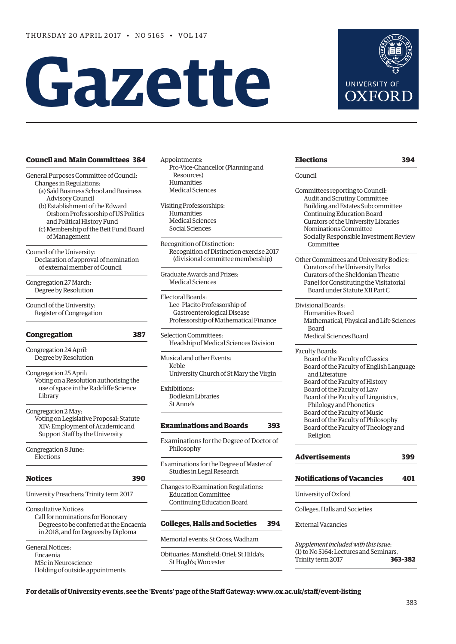# **Gazette**



#### **[Council and Main Committees](#page-1-0) 384**

General Purposes Committee of Council:

- Changes in Regulations: (a) Saïd Business School and Business Advisory Council
- (b) Establishment of the Edward Orsborn Professorship of US Politics and Political History Fund
- (c) Membership of the Beit Fund Board of Management

Council of the University: Declaration of approval of nomination of external member of Council

Congregation 27 March: Degree by Resolution

Council of the University: Register of Congregation

#### **[Congregation 387](#page-4-0)**

Congregation 24 April: Degree by Resolution

Congregation 25 April:

Voting on a Resolution authorising the use of space in the Radcliffe Science Library

Congregation 2 May:

Voting on Legislative Proposal: Statute XIV: Employment of Academic and Support Staff by the University

Congregation 8 June: **Elections** 

#### **[Notices](#page-7-0) 390**

University Preachers: Trinity term 2017

Consultative Notices: Call for nominations for Honorary Degrees to be conferred at the Encaenia in 2018, and for Degrees by Diploma

General Notices: Encaenia MSc in Neuroscience Holding of outside appointments

- Appointments: Pro-Vice-Chancellor (Planning and Resources) Humanities Medical Sciences
- Visiting Professorships: Humanities Medical Sciences Social Sciences

Recognition of Distinction: Recognition of Distinction exercise 2017 (divisional committee membership)

Graduate Awards and Prizes: Medical Sciences

Electoral Boards: Lee–Placito Professorship of Gastroenterological Disease Professorship of Mathematical Finance

Selection Committees: Headship of Medical Sciences Division

Musical and other Events: Keble University Church of St Mary the Virgin

Exhibitions: Bodleian Libraries St Anne's

#### **[Examinations and Boards](#page-10-0) 393**

Examinations for the Degree of Doctor of Philosophy

Examinations for the Degree of Master of Studies in Legal Research

Changes to Examination Regulations: Education Committee Continuing Education Board

#### **[Colleges, Halls and Societies](#page-11-0) 394**

Memorial events: St Cross; Wadham

Obituaries: Mansfield; Oriel; St Hilda's; St Hugh's; Worcester

| <b>Elections</b>                         | 394 |
|------------------------------------------|-----|
| Council                                  |     |
| Committees reporting to Council:         |     |
| Audit and Scrutiny Committee             |     |
| Building and Estates Subcommittee        |     |
| Continuing Education Board               |     |
| Curators of the University Libraries     |     |
| Nominations Committee                    |     |
| Socially Responsible Investment Review   |     |
| Committee                                |     |
| Other Committees and University Bodies:  |     |
| Curators of the University Parks         |     |
| Curators of the Sheldonian Theatre       |     |
| Panel for Constituting the Visitatorial  |     |
| Board under Statute XII Part C           |     |
| Divisional Boards:                       |     |
| Humanities Board                         |     |
| Mathematical, Physical and Life Sciences |     |
| <b>Board</b>                             |     |
| Medical Sciences Board                   |     |
| Faculty Boards:                          |     |
| Board of the Faculty of Classics         |     |
| Board of the Faculty of English Language |     |
| and Literature                           |     |
| Board of the Faculty of History          |     |
| Board of the Faculty of Law              |     |
| Board of the Faculty of Linguistics,     |     |
| Philology and Phonetics                  |     |
| Board of the Faculty of Music            |     |
| Board of the Faculty of Philosophy       |     |
| Board of the Faculty of Theology and     |     |
| Religion                                 |     |

| Advertisements                    | 399 |  |
|-----------------------------------|-----|--|
| <b>Notifications of Vacancies</b> | 401 |  |
|                                   |     |  |

University of Oxford

Colleges, Halls and Societies

External Vacancies

*Supplement included with this issue*: (1) to No 5164: Lectures and Seminars, Trinity term 2017 **363–382**

**For details of University events, see the 'Events' page of the Staff Gateway: www.ox.ac.uk/staff/event-listing**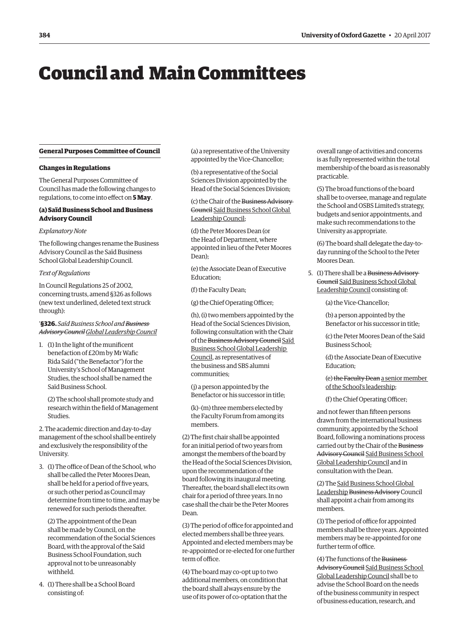## <span id="page-1-0"></span>Council and Main Committees

#### **General Purposes Committee of Council**

#### **Changes in Regulations**

The General Purposes Committee of Council has made the following changes to regulations, to come into effect on **5 May**.

#### **(a) Saïd Business School and Business Advisory Council**

#### *Explanatory Note*

The following changes rename the Business Advisory Council as the Saïd Business School Global Leadership Council.

#### *Text of Regulations*

In Council Regulations 25 of 2002, concerning trusts, amend §326 as follows (new text underlined, deleted text struck through):

#### '**§326.** *Saïd Business School and Business Advisory CouncilGlobal Leadership Council*

1. (1) In the light of the munificent benefaction of £20m by Mr Wafic Rida Saïd ("the Benefactor") for the University's School of Management Studies, the school shall be named the Saïd Business School.

(2) The school shall promote study and research within the field of Management Studies.

2. The academic direction and day-to-day management of the school shall be entirely and exclusively the responsibility of the University.

3. (1) The office of Dean of the School, who shall be called the Peter Moores Dean, shall be held for a period of five years, or such other period as Council may determine from time to time, and may be renewed for such periods thereafter.

(2) The appointment of the Dean shall be made by Council, on the recommendation of the Social Sciences Board, with the approval of the Saïd Business School Foundation, such approval not to be unreasonably withheld.

4. (1) There shall be a School Board consisting of:

(a) a representative of the University appointed by the Vice-Chancellor;

(b) a representative of the Social Sciences Division appointed by the Head of the Social Sciences Division;

(c) the Chair of the Business Advisory Council Saïd Business School Global Leadership Council;

(d) the Peter Moores Dean (or the Head of Department, where appointed in lieu of the Peter Moores Dean);

(e) the Associate Dean of Executive Education;

(f) the Faculty Dean;

(g) the Chief Operating Officer;

(h), (i) two members appointed by the Head of the Social Sciences Division, following consultation with the Chair of the Business Advisory Council Saïd Business School Global Leadership Council, as representatives of the business and SBS alumni communities;

(j) a person appointed by the Benefactor or his successor in title;

(k)–(m) three members elected by the Faculty Forum from among its members.

(2) The first chair shall be appointed for an initial period of two years from amongst the members of the board by the Head of the Social Sciences Division, upon the recommendation of the board following its inaugural meeting. Thereafter, the board shall elect its own chair for a period of three years. In no case shall the chair be the Peter Moores Dean.

(3) The period of office for appointed and elected members shall be three years. Appointed and elected members may be re-appointed or re-elected for one further term of office.

(4) The board may co-opt up to two additional members, on condition that the board shall always ensure by the use of its power of co-optation that the

overall range of activities and concerns is as fully represented within the total membership of the board as is reasonably practicable.

(5) The broad functions of the board shall be to oversee, manage and regulate the School and OSBS Limited's strategy, budgets and senior appointments, and make such recommendations to the University as appropriate.

(6) The board shall delegate the day-today running of the School to the Peter Moores Dean.

5. (1) There shall be a Business Advisory Council Saïd Business School Global Leadership Council consisting of:

(a) the Vice-Chancellor;

(b) a person appointed by the Benefactor or his successor in title;

(c) the Peter Moores Dean of the Saïd Business School;

(d) the Associate Dean of Executive Education;

(e) the Faculty Dean a senior member of the School's leadership;

(f) the Chief Operating Officer;

and not fewer than fifteen persons drawn from the international business community, appointed by the School Board, following a nominations process carried out by the Chair of the Business Advisory Council Saïd Business School Global Leadership Council and in consultation with the Dean.

(2) The Saïd Business School Global Leadership Business Advisory Council shall appoint a chair from among its members.

(3) The period of office for appointed members shall be three years. Appointed members may be re-appointed for one further term of office.

(4) The functions of the Business Advisory Council Saïd Business School Global Leadership Council shall be to advise the School Board on the needs of the business community in respect of business education, research, and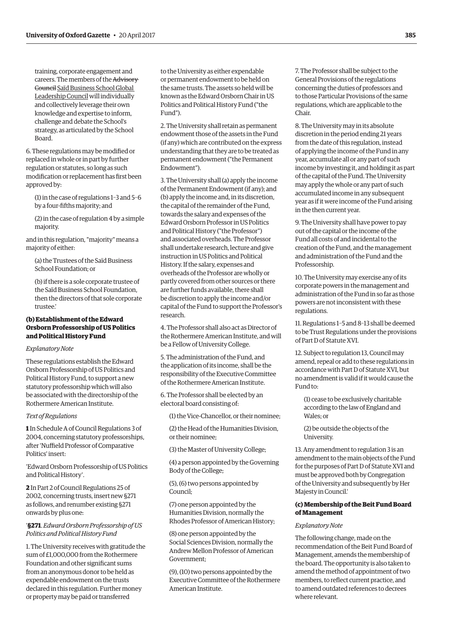training, corporate engagement and careers. The members of the Advisory Council Saïd Business School Global Leadership Council will individually and collectively leverage their own knowledge and expertise to inform, challenge and debate the School's strategy, as articulated by the School Board.

6. These regulations may be modified or replaced in whole or in part by further regulation or statutes, so long as such modification or replacement has first been approved by:

(1) in the case of regulations 1–3 and 5–6 by a four-fifths majority; and

(2) in the case of regulation 4 by a simple majority.

and in this regulation, "majority" means a majority of either:

(a) the Trustees of the Saïd Business School Foundation; or

(b) if there is a sole corporate trustee of the Saïd Business School Foundation, then the directors of that sole corporate trustee.'

#### **(b) Establishment of the Edward Orsborn Professorship of US Politics and Political History Fund**

#### *Explanatory Note*

These regulations establish the Edward Orsborn Professorship of US Politics and Political History Fund, to support a new statutory professorship which will also be associated with the directorship of the Rothermere American Institute.

#### *Text of Regulations*

**1** In Schedule A of Council Regulations 3 of 2004, concerning statutory professorships, after 'Nuffield Professor of Comparative Politics' insert:

'Edward Orsborn Professorship of US Politics and Political History'.

**2** In Part 2 of Council Regulations 25 of 2002, concerning trusts, insert new §271 as follows, and renumber existing §271 onwards by plus one:

#### '**§271**. *Edward Orsborn Professorship of US Politics and Political History Fund*

1. The University receives with gratitude the sum of £1,000,000 from the Rothermere Foundation and other significant sums from an anonymous donor to be held as expendable endowment on the trusts declared in this regulation. Further money or property may be paid or transferred

to the University as either expendable or permanent endowment to be held on the same trusts. The assets so held will be known as the Edward Orsborn Chair in US Politics and Political History Fund ("the Fund").

2. The University shall retain as permanent endowment those of the assets in the Fund (if any) which are contributed on the express understanding that they are to be treated as permanent endowment ("the Permanent Endowment").

3. The University shall (a) apply the income of the Permanent Endowment (if any); and (b) apply the income and, in its discretion, the capital of the remainder of the Fund, towards the salary and expenses of the Edward Orsborn Professor in US Politics and Political History ("the Professor") and associated overheads. The Professor shall undertake research, lecture and give instruction in US Politics and Political History. If the salary, expenses and overheads of the Professor are wholly or partly covered from other sources or there are further funds available, there shall be discretion to apply the income and/or capital of the Fund to support the Professor's research.

4. The Professor shall also act as Director of the Rothermere American Institute, and will be a Fellow of University College.

5. The administration of the Fund, and the application of its income, shall be the responsibility of the Executive Committee of the Rothermere American Institute.

6. The Professor shall be elected by an electoral board consisting of:

(1) the Vice-Chancellor, or their nominee;

(2) the Head of the Humanities Division, or their nominee;

(3) the Master of University College;

(4) a person appointed by the Governing Body of the College;

(5), (6) two persons appointed by Council;

(7) one person appointed by the Humanities Division, normally the Rhodes Professor of American History;

(8) one person appointed by the Social Sciences Division, normally the Andrew Mellon Professor of American Government;

(9), (10) two persons appointed by the Executive Committee of the Rothermere American Institute.

7. The Professor shall be subject to the General Provisions of the regulations concerning the duties of professors and to those Particular Provisions of the same regulations, which are applicable to the Chair.

8. The University may in its absolute discretion in the period ending 21 years from the date of this regulation, instead of applying the income of the Fund in any year, accumulate all or any part of such income by investing it, and holding it as part of the capital of the Fund. The University may apply the whole or any part of such accumulated income in any subsequent year as if it were income of the Fund arising in the then current year.

9. The University shall have power to pay out of the capital or the income of the Fund all costs of and incidental to the creation of the Fund, and the management and administration of the Fund and the Professorship.

10. The University may exercise any of its corporate powers in the management and administration of the Fund in so far as those powers are not inconsistent with these regulations.

11. Regulations 1–5 and 8–13 shall be deemed to be Trust Regulations under the provisions of Part D of Statute XVI.

12. Subject to regulation 13, Council may amend, repeal or add to these regulations in accordance with Part D of Statute XVI, but no amendment is valid if it would cause the Fund to:

(1) cease to be exclusively charitable according to the law of England and Wales; or

(2) be outside the objects of the University.

13. Any amendment to regulation 3 is an amendment to the main objects of the Fund for the purposes of Part D of Statute XVI and must be approved both by Congregation of the University and subsequently by Her Majesty in Council.'

#### **(c) Membership of the Beit Fund Board of Management**

#### *Explanatory Note*

The following change, made on the recommendation of the Beit Fund Board of Management, amends the membership of the board. The opportunity is also taken to amend the method of appointment of two members, to reflect current practice, and to amend outdated references to decrees where relevant.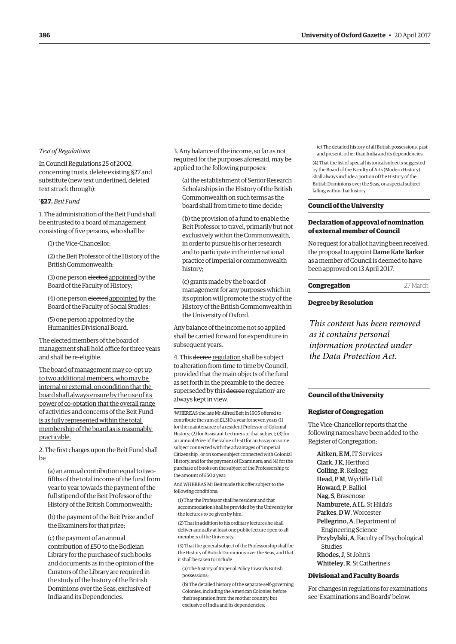#### *Text of Regulations*

In Council Regulations 25 of 2002, concerning trusts, delete existing §27 and substitute (new text underlined, deleted text struck through):

#### '**§27.** *Beit Fund*

1. The administration of the Beit Fund shall be entrusted to a board of management consisting of five persons, who shall be

(1) the Vice-Chancellor;

(2) the Beit Professor of the History of the British Commonwealth;

(3) one person elected appointed by the Board of the Faculty of History;

(4) one person elected appointed by the Board of the Faculty of Social Studies;

(5) one person appointed by the Humanities Divisional Board.

The elected members of the board of management shall hold office for three years and shall be re-eligible.

The board of management may co-opt up to two additional members, who may be internal or external, on condition that the board shall always ensure by the use of its power of co-optation that the overall range of activities and concerns of the Beit Fund is as fully represented within the total membership of the board as is reasonably practicable.

2. The first charges upon the Beit Fund shall be

(a) an annual contribution equal to twofifths of the total income of the fund from year to year towards the payment of the full stipend of the Beit Professor of the History of the British Commonwealth;

(b) the payment of the Beit Prize and of the Examiners for that prize;

(c) the payment of an annual contribution of £50 to the Bodleian Library for the purchase of such books and documents as in the opinion of the Curators of the Library are required in the study of the history of the British Dominions over the Seas, exclusive of India and its Dependencies.

3. Any balance of the income, so far as not required for the purposes aforesaid, may be applied to the following purposes:

(a) the establishment of Senior Research Scholarships in the History of the British Commonwealth on such terms as the board shall from time to time decide;

(b) the provision of a fund to enable the Beit Professor to travel, primarily but not exclusively within the Commonwealth, in order to pursue his or her research and to participate in the international practice of imperial or commonwealth history;

(c) grants made by the board of management for any purposes which in its opinion will promote the study of the History of the British Commonwealth in the University of Oxford.

Any balance of the income not so applied shall be carried forward for expenditure in subsequent years.

4. This decree regulation shall be subject to alteration from time to time by Council, provided that the main objects of the fund as set forth in the preamble to the decree superseded by this decree regulation<sup>1</sup> are always kept in view.

1 WHEREAS the late Mr Alfred Beit in 1905 offered to contribute the sum of £1,310 a year for seven years (1) for the maintenance of a resident Professor of Colonial History; (2) for Assistant Lecturers in that subject; (3) for an annual Prize of the value of £50 for an Essay on some subject connected with the advantages of 'Imperial Citizenship', or on some subject connected with Colonial History, and for the payment of Examiners; and (4) for the purchase of books on the subject of the Professorship to the amount of £50 a year:

And WHEREAS Mr Beit made this offer subject to the following conditions:

(1) That the Professor shall be resident and that accommodation shall be provided by the University for the lectures to be given by him.

(2) That in addition to his ordinary lectures he shall deliver annually at least one public lecture open to all members of the University.

(3) That the general subject of the Professorship shall be the History of British Dominions over the Seas, and that it shall be taken to include

(a) The history of Imperial Policy towards British possessions;

(b) The detailed history of the separate self-governing Colonies, including the American Colonies, before their separation from the mother country, but exclusive of India and its dependencies;

(c) The detailed history of all British possessions, past and present, other than India and its dependencies.

(4) That the list of special historical subjects suggested by the Board of the Faculty of Arts (Modern History) shall always include a portion of the History of the British Dominions over the Seas, or a special subject falling within that history.

#### **Council of the University**

#### **Declaration of approval of nomination of external member of Council**

No request for a ballot having been received, the proposal to appoint Dame Kate Barker as a member of Council is deemed to have been approved on 13 April 2017.

#### **Congregation** 27 March

#### **Degree by Resolution**

*This content has been removed as it contains personal information protected under the Data Protection Act.*

#### **Council of the University**

#### **Register of Congregation**

The Vice-Chancellor reports that the following names have been added to the Register of Congregation:

Aitken, E M, IT Services Clark, J K, Hertford Colling, R, Kellogg Head, P M, Wycliffe Hall Howard, P, Balliol Nag, S, Brasenose Namburete, A I L, St Hilda's Parkes, D W, Worcester Pellegrino, A, Department of Engineering Science Przybylski, A, Faculty of Psychological Studies Rhodes, J, St John's Whiteley, R, St Catherine's

#### **Divisional and Faculty Boards**

For changes in regulations for examinations see ['Examinations and Boards' b](#page-11-0)elow.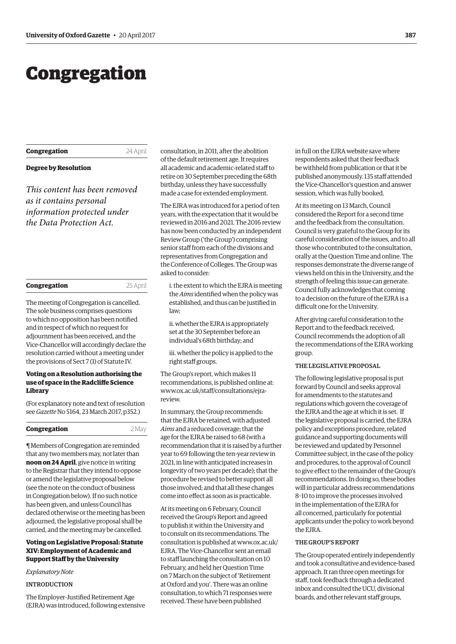## <span id="page-4-0"></span>Congregation

### **Congregation** 24 April

#### **Degree by Resolution**

*This content has been removed as it contains personal information protected under the Data Protection Act.*

| Congregation | 25 April |
|--------------|----------|
|              |          |

The meeting of Congregation is cancelled. The sole business comprises questions to which no opposition has been notified and in respect of which no request for adjournment has been received, and the Vice-Chancellor will accordingly declare the resolution carried without a meeting under the provisions of Sect 7 (1) of Statute IV.

#### **Voting on a Resolution authorising the use of space in the Radcliffe Science Library**

(For explanatory note and text of resolution see *Gazette* [No 5164, 23 March 2017, p352.](http://www.ox.ac.uk/gazette/2016-2017/23march2017-no5164/congregation/#250400))

| 2 May |
|-------|
|       |

¶ Members of Congregation are reminded that any two members may, not later than **noon on 24 April**, give notice in writing to the Registrar that they intend to oppose or amend the legislative proposal below (see the note on the conduct of business in Congregation below). If no such notice has been given, and unless Council has declared otherwise or the meeting has been adjourned, the legislative proposal shall be carried, and the meeting may be cancelled.

#### **Voting on Legislative Proposal: Statute XIV: Employment of Academic and Support Staff by the University**

#### *Explanatory Note*

#### INTRODUCTION

The Employer-Justified Retirement Age (EJRA) was introduced, following extensive

consultation, in 2011, after the abolition of the default retirement age. It requires all academic and academic-related staff to retire on 30 September preceding the 68th birthday, unless they have successfully made a case for extended employment.

The EJRA was introduced for a period of ten years, with the expectation that it would be reviewed in 2016 and 2021. The 2016 review has now been conducted by an independent Review Group ('the Group') comprising senior staff from each of the divisions and representatives from Congregation and the Conference of Colleges. The Group was asked to consider:

i. the extent to which the EJRA is meeting the *Aims* identified when the policy was established, and thus can be justified in law;

ii. whether the EJRA is appropriately set at the 30 September before an individual's 68th birthday; and

iii. whether the policy is applied to the right staff groups.

The Group's report, which makes 11 recommendations, is published online at: [www.ox.ac.uk/staff/consultations/ejra](http://www.ox.ac.uk/staff/consultations/ejrareview)review.

In summary, the Group recommends: that the EJRA be retained, with adjusted *Aims* and a reduced coverage; that the age for the EJRA be raised to 68 (with a recommendation that it is raised by a further year to 69 following the ten-year review in 2021, in line with anticipated increases in longevity of two years per decade); that the procedure be revised to better support all those involved; and that all these changes come into effect as soon as is practicable.

At its meeting on 6 February, Council received the Group's Report and agreed to publish it within the University and to consult on its recommendations. The consultation is published at [www.ox.ac.uk/](http://www.ox.ac.uk/EJRA) [EJRA](http://www.ox.ac.uk/EJRA). The Vice-Chancellor sent an email to staff launching the consultation on 10 February, and held her Question Time on 7 March on the subject of 'Retirement at Oxford and you'. There was an online consultation, to which 71 responses were received. These have been published

in full on the EJRA website save where respondents asked that their feedback be withheld from publication or that it be published anonymously. 135 staff attended the Vice-Chancellor's question and answer session, which was fully booked.

At its meeting on 13 March, Council considered the Report for a second time and the feedback from the consultation. Council is very grateful to the Group for its careful consideration of the issues, and to all those who contributed to the consultation, orally at the Question Time and online. The responses demonstrate the diverse range of views held on this in the University, and the strength of feeling this issue can generate. Council fully acknowledges that coming to a decision on the future of the EJRA is a difficult one for the University.

After giving careful consideration to the Report and to the feedback received, Council recommends the adoption of all the recommendations of the EJRA working group.

#### THE LEGISLATIVE PROPOSAL

The following legislative proposal is put forward by Council and seeks approval for amendments to the statutes and regulations which govern the coverage of the EJRA and the age at which it is set. If the legislative proposal is carried, the EJRA policy and exceptions procedure, related guidance and supporting documents will be reviewed and updated by Personnel Committee subject, in the case of the policy and procedures, to the approval of Council to give effect to the remainder of the Group's recommendations. In doing so, these bodies will in particular address recommendations 8–10 to improve the processes involved in the implementation of the EJRA for all concerned, particularly for potential applicants under the policy to work beyond the EJRA.

#### THE GROUP'S REPORT

The Group operated entirely independently and took a consultative and evidence-based approach. It ran three open meetings for staff, took feedback through a dedicated inbox and consulted the UCU, divisional boards, and other relevant staff groups,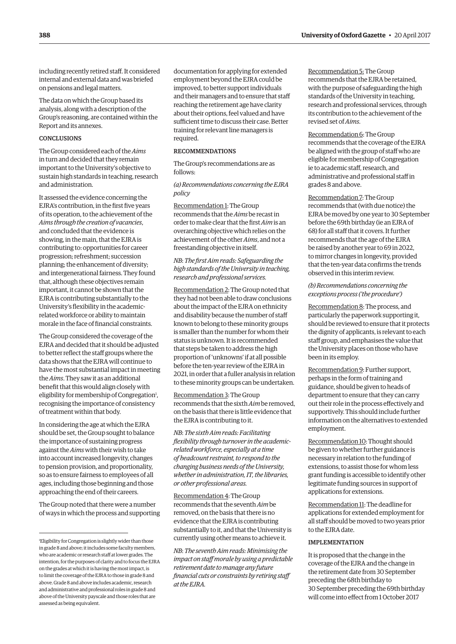including recently retired staff. It considered internal and external data and was briefed on pensions and legal matters.

The data on which the Group based its analysis, along with a description of the Group's reasoning, are contained within the Report and its annexes.

#### **CONCLUSIONS**

The Group considered each of the *Aims* in turn and decided that they remain important to the University's objective to sustain high standards in teaching, research and administration.

It assessed the evidence concerning the EJRA's contribution, in the first five years of its operation, to the achievement of the *Aims through the creation of vacancies*, and concluded that the evidence is showing, in the main, that the EJRA is contributing to: opportunities for career progression; refreshment; succession planning; the enhancement of diversity; and intergenerational fairness. They found that, although these objectives remain important, it cannot be shown that the EJRA is contributing substantially to the University's flexibility in the academicrelated workforce or ability to maintain morale in the face of financial constraints.

The Group considered the coverage of the EJRA and decided that it should be adjusted to better reflect the staff groups where the data shows that the EJRA will continue to have the most substantial impact in meeting the *Aims*. They saw it as an additional benefit that this would align closely with eligibility for membership of Congregation<sup>1</sup>, recognising the importance of consistency of treatment within that body.

In considering the age at which the EJRA should be set, the Group sought to balance the importance of sustaining progress against the *Aims* with their wish to take into account increased longevity, changes to pension provision, and proportionality, so as to ensure fairness to employees of all ages, including those beginning and those approaching the end of their careers.

The Group noted that there were a number of ways in which the process and supporting documentation for applying for extended employment beyond the EJRA could be improved, to better support individuals and their managers and to ensure that staff reaching the retirement age have clarity about their options, feel valued and have sufficient time to discuss their case. Better training for relevant line managers is required.

#### RECOMMENDATIONS

The Group's recommendations are as follows:

*(a) Recommendations concerning the EJRA policy*

Recommendation 1: The Group recommends that the *Aims* be recast in order to make clear that the first *Aim* is an overarching objective which relies on the achievement of the other *Aims*, and not a freestanding objective in itself.

#### *NB*: *The first Aim reads: Safeguarding the high standards of the University in teaching, research and professional services.*

Recommendation 2: The Group noted that they had not been able to draw conclusions about the impact of the EJRA on ethnicity and disability because the number of staff known to belong to these minority groups is smaller than the number for whom their status is unknown. It is recommended that steps be taken to address the high proportion of 'unknowns' if at all possible before the ten-year review of the EJRA in 2021, in order that a fuller analysis in relation to these minority groups can be undertaken.

Recommendation 3: The Group recommends that the sixth *Aim* be removed, on the basis that there is little evidence that the EJRA is contributing to it.

*NB*: *The sixth Aim reads: Facilitating flexibility through turnover in the academicrelated workforce, especially at a time of headcount restraint, to respond to the changing business needs of the University, whether in administration, IT, the libraries, or other professional areas.*

Recommendation 4: The Group recommends that the seventh *Aim* be removed, on the basis that there is no evidence that the EJRA is contributing substantially to it, and that the University is currently using other means to achieve it.

*NB*: *The seventh Aim reads: Minimising the impact on staff morale by using a predictable retirement date to manage any future financial cuts or constraints by retiring staff at the EJRA.*

Recommendation 5: The Group recommends that the EJRA be retained, with the purpose of safeguarding the high standards of the University in teaching, research and professional services, through its contribution to the achievement of the revised set of *Aims*.

Recommendation 6: The Group recommends that the coverage of the EJRA be aligned with the group of staff who are eligible for membership of Congregation ie to academic staff, research, and administrative and professional staff in grades 8 and above.

Recommendation 7: The Group recommends that (with due notice) the EJRA be moved by one year to 30 September before the 69th birthday (ie an EJRA of 68) for all staff that it covers. It further recommends that the age of the EJRA be raised by another year to 69 in 2022, to mirror changes in longevity, provided that the ten-year data confirms the trends observed in this interim review.

*(b) Recommendations concerning the exceptions process ('the procedure')*

Recommendation 8: The process, and particularly the paperwork supporting it, should be reviewed to ensure that it protects the dignity of applicants, is relevant to each staff group, and emphasises the value that the University places on those who have been in its employ.

Recommendation 9: Further support, perhaps in the form of training and guidance, should be given to heads of department to ensure that they can carry out their role in the process effectively and supportively. This should include further information on the alternatives to extended employment.

Recommendation 10: Thought should be given to whether further guidance is necessary in relation to the funding of extensions, to assist those for whom less grant funding is accessible to identify other legitimate funding sources in support of applications for extensions.

Recommendation 11: The deadline for applications for extended employment for all staff should be moved to two years prior to the EJRA date.

#### IMPLEMENTATION

It is proposed that the change in the coverage of the EJRA and the change in the retirement date from 30 September preceding the 68th birthday to 30 September preceding the 69th birthday will come into effect from 1 October 2017

<sup>1</sup> Eligibility for Congregation is slightly wider than those in grade 8 and above; it includes some faculty members, who are academic or research staff at lower grades. The intention, for the purposes of clarity and to focus the EJRA on the grades at which it is having the most impact, is to limit the coverage of the EJRA to those in grade 8 and above. Grade 8 and above includes academic, research and administrative and professional roles in grade 8 and above of the University payscale and those roles that are assessed as being equivalent.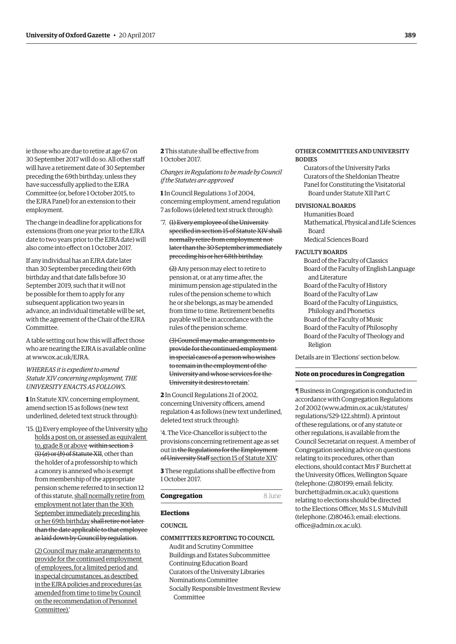ie those who are due to retire at age 67 on 30 September 2017 will do so. All other staff will have a retirement date of 30 September preceding the 69th birthday, unless they have successfully applied to the EJRA Committee (or, before 1 October 2015, to the EJRA Panel) for an extension to their employment.

The change in deadline for applications for extensions (from one year prior to the EJRA date to two years prior to the EJRA date) will also come into effect on 1 October 2017.

If any individual has an EJRA date later than 30 September preceding their 69th birthday and that date falls before 30 September 2019, such that it will not be possible for them to apply for any subsequent application two years in advance, an individual timetable will be set, with the agreement of the Chair of the EJRA Committee.

A table setting out how this will affect those who are nearing the EJRA is available online at www.ox.ac.uk/EJRA.

#### *WHEREAS it is expedient to amend Statute XIV concerning employment, THE UNIVERSITY ENACTS AS FOLLOWS.*

**1** In Statute XIV, concerning employment, amend section 15 as follows (new text underlined, deleted text struck through):

'15. (1) Every employee of the University who holds a post on, or assessed as equivalent to, grade 8 or above within section 3 (1) (*a*) or (*b*) of Statute XII, other than the holder of a professorship to which a canonry is annexed who is exempt from membership of the appropriate pension scheme referred to in section 12 of this statute, shall normally retire from employment not later than the 30th September immediately preceding his or her 69th birthday shall retire not later than the date applicable to that employee as laid down by Council by regulation.

(2) Council may make arrangements to provide for the continued employment of employees, for a limited period and in special circumstances, as described in the EJRA policies and procedures (as amended from time to time by Council on the recommendation of Personnel Committee).'

**2** This statute shall be effective from 1 October 2017.

*Changes in Regulations to be made by Council if the Statutes are approved*

**1** In Council Regulations 3 of 2004, concerning employment, amend regulation 7 as follows (deleted text struck through):

'7. (1) Every employee of the University specified in section 15 of Statute XIV shall normally retire from employment not later than the 30 September immediately preceding his or her 68th birthday.

(2) Any person may elect to retire to pension at, or at any time after, the minimum pension age stipulated in the rules of the pension scheme to which he or she belongs, as may be amended from time to time. Retirement benefits payable will be in accordance with the rules of the pension scheme.

(3) Council may make arrangements to provide for the continued employment in special cases of a person who wishes to remain in the employment of the University and whose services for the University it desires to retain.'

**2** In Council Regulations 21 of 2002, concerning University officers, amend regulation 4 as follows (new text underlined, deleted text struck through):

'4. The Vice-Chancellor is subject to the provisions concerning retirement age as set out in the Regulations for the Employment of University Staff section 15 of Statute XIV.

**3** These regulations shall be effective from 1 October 2017.

#### **Congregation** 8 June

#### **Elections**

COUNCIL

#### COMMITTEES REPORTING TO COUNCIL

Audit and Scrutiny Committee Buildings and Estates Subcommittee Continuing Education Board Curators of the University Libraries Nominations Committee Socially Responsible Investment Review Committee

#### OTHER COMMITTEES AND UNIVERSITY BODIES

Curators of the University Parks Curators of the Sheldonian Theatre Panel for Constituting the Visitatorial Board under Statute XII Part C

#### DIVISIONAL BOARDS

Humanities Board Mathematical, Physical and Life Sciences Board Medical Sciences Board

#### FACULTY BOARDS

Board of the Faculty of Classics Board of the Faculty of English Language and Literature Board of the Faculty of History Board of the Faculty of Law Board of the Faculty of Linguistics, Philology and Phonetics Board of the Faculty of Music Board of the Faculty of Philosophy Board of the Faculty of Theology and Religion

Details are in '[Elections' s](#page-11-0)ection below.

#### **Note on procedures in Congregation**

¶ Business in Congregation is conducted in accordance with Congregation Regulations 2 of 2002 (www.admin.ox.ac.uk/statutes/ regulations/529-122.shtml). A printout of these regulations, or of any statute or other regulations, is available from the Council Secretariat on request. A member of Congregation seeking advice on questions relating to its procedures, other than elections, should contact Mrs F Burchett at the University Offices, Wellington Square (telephone: (2)80199; email: [felicity.](mailto:felicity.burchett@admin.ox.ac.uk) [burchett@admin.ox.ac.uk](mailto:felicity.burchett@admin.ox.ac.uk)); questions relating to elections should be directed to the Elections Officer, Ms S L S Mulvihill (telephone: (2)80463; email: [elections.](mailto:elections.office@admin.ox.ac.uk) [office@admin.ox.ac.uk\)](mailto:elections.office@admin.ox.ac.uk).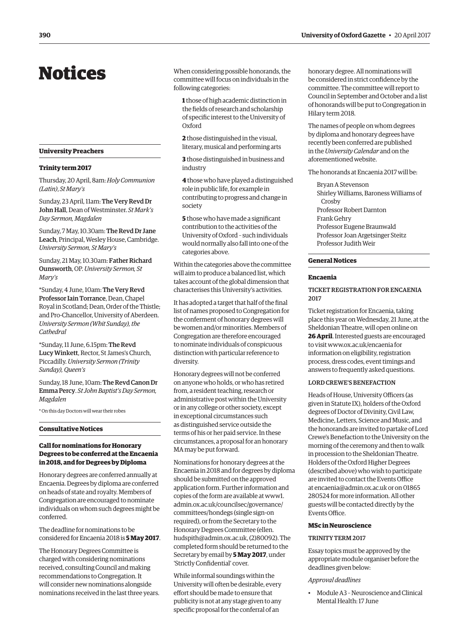## <span id="page-7-0"></span>Notices

#### **University Preachers**

#### **Trinity term 2017**

Thursday, 20 April, 8am: *Holy Communion (Latin)*, *St Mary's*

Sunday, 23 April, 11am: The Very Revd Dr John Hall, Dean of Westminster. *St Mark's Day Sermon, Magdalen*

Sunday, 7 May, 10.30am: The Revd Dr Jane Leach, Principal, Wesley House, Cambridge. *University Sermon, St Mary's*

Sunday, 21 May, 10.30am: Father Richard Ounsworth, OP. *University Sermon, St Mary's*

\*Sunday, 4 June, 10am: The Very Revd Professor Iain Torrance, Dean, Chapel Royal in Scotland; Dean, Order of the Thistle; and Pro-Chancellor, University of Aberdeen. *University Sermon (Whit Sunday), the Cathedral*

\*Sunday, 11 June, 6.15pm: The Revd Lucy Winkett, Rector, St James's Church, Piccadilly. *University Sermon (Trinity Sunday), Queen's*

Sunday, 18 June, 10am: The Revd Canon Dr Emma Percy. *St John Baptist's Day Sermon, Magdalen*

\* On this day Doctors will wear their robes

#### **Consultative Notices**

#### **Call for nominations for Honorary Degrees to be conferred at the Encaenia in 2018, and for Degrees by Diploma**

Honorary degrees are conferred annually at Encaenia. Degrees by diploma are conferred on heads of state and royalty. Members of Congregation are encouraged to nominate individuals on whom such degrees might be conferred.

The deadline for nominations to be considered for Encaenia 2018 is **5 May 2017**.

The Honorary Degrees Committee is charged with considering nominations received, consulting Council and making recommendations to Congregation. It will consider new nominations alongside nominations received in the last three years. When considering possible honorands, the committee will focus on individuals in the following categories:

**1** those of high academic distinction in the fields of research and scholarship of specific interest to the University of Oxford

**2** those distinguished in the visual, literary, musical and performing arts

**3** those distinguished in business and industry

**4** those who have played a distinguished role in public life, for example in contributing to progress and change in society

**5** those who have made a significant contribution to the activities of the University of Oxford – such individuals would normally also fall into one of the categories above.

Within the categories above the committee will aim to produce a balanced list, which takes account of the global dimension that characterises this University's activities.

It has adopted a target that half of the final list of names proposed to Congregation for the conferment of honorary degrees will be women and/or minorities. Members of Congregation are therefore encouraged to nominate individuals of conspicuous distinction with particular reference to diversity.

Honorary degrees will not be conferred on anyone who holds, or who has retired from, a resident teaching, research or administrative post within the University or in any college or other society, except in exceptional circumstances such as distinguished service outside the terms of his or her paid service. In these circumstances, a proposal for an honorary MA may be put forward.

Nominations for honorary degrees at the Encaenia in 2018 and for degrees by diploma should be submitted on the approved application form. Further information and copies of the form are available at [www1.](https://www1.admin.ox.ac.uk/councilsec/governance/committees/hondegs) [admin.ox.ac.uk/councilsec/governance/](https://www1.admin.ox.ac.uk/councilsec/governance/committees/hondegs) [committees/hondegs](https://www1.admin.ox.ac.uk/councilsec/governance/committees/hondegs) (single sign-on required), or from the Secretary to the Honorary Degrees Committee [\(ellen.](mailto:ellen.hudspith@admin.ox.ac.uk) [hudspith@admin.ox.ac.uk](mailto:ellen.hudspith@admin.ox.ac.uk), (2)80092). The completed form should be returned to the Secretary by email by **5 May 2017**, under 'Strictly Confidential' cover.

While informal soundings within the University will often be desirable, every effort should be made to ensure that publicity is not at any stage given to any specific proposal for the conferral of an

honorary degree. All nominations will be considered in strict confidence by the committee. The committee will report to Council in September and October and a list of honorands will be put to Congregation in Hilary term 2018.

The names of people on whom degrees by diploma and honorary degrees have recently been conferred are published in the *University Calendar* and on the aforementioned website.

The honorands at Encaenia 2017 will be:

Bryan A Stevenson Shirley Williams, Baroness Williams of Crosby Professor Robert Darnton Frank Gehry Professor Eugene Braunwald Professor Joan Argetsinger Steitz Professor Judith Weir

#### **General Notices**

#### **Encaenia**

#### TICKET REGISTRATION FOR ENCAENIA 2017

Ticket registration for Encaenia, taking place this year on Wednesday, 21 June, at the Sheldonian Theatre, will open online on **26 April**. Interested guests are encouraged to visit www.ox.ac.uk/encaenia for information on eligibility, registration process, dress codes, event timings and answers to frequently asked questions.

#### LORD CREWE'S BENEFACTION

Heads of House, University Officers (as given in Statute IX), holders of the Oxford degrees of Doctor of Divinity, Civil Law, Medicine, Letters, Science and Music, and the honorands are invited to partake of Lord Crewe's Benefaction to the University on the morning of the ceremony and then to walk in procession to the Sheldonian Theatre. Holders of the Oxford Higher Degrees (described above) who wish to participate are invited to contact the Events Office at encaenia@admin.ox.ac.uk or on 01865 280524 for more information. All other guests will be contacted directly by the Events Office.

#### **MSc in Neuroscience**

#### TRINITY TERM 2017

Essay topics must be approved by the appropriate module organiser before the deadlines given below:

#### *Approval deadlines*

• Module A3 – Neuroscience and Clinical Mental Health: 17 June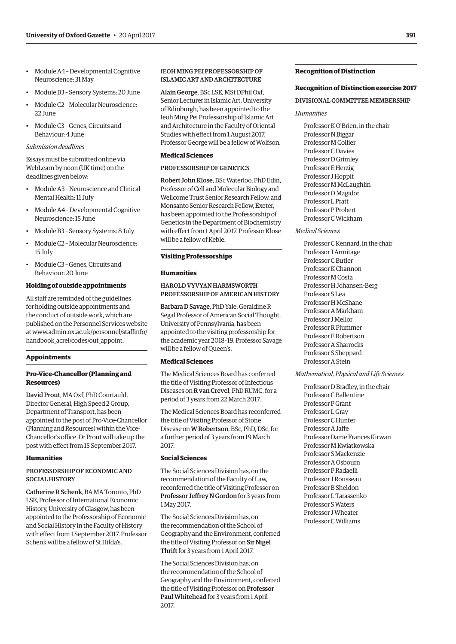- Module A4 Developmental Cognitive Neuroscience: 31 May
- Module B3 Sensory Systems: 20 June
- Module C2 Molecular Neuroscience: 22 June
- Module C3 Genes, Circuits and Behaviour: 4 June

#### *Submission deadlines*

Essays must be submitted online via WebLearn by noon (UK time) on the deadlines given below:

- Module A3 Neuroscience and Clinical Mental Health: 11 July
- Module A4 Developmental Cognitive Neuroscience: 15 June
- Module B3 Sensory Systems: 8 July
- Module C2 Molecular Neuroscience: 15 July
- Module C3 Genes, Circuits and Behaviour: 20 June

#### **Holding of outside appointments**

All staff are reminded of the guidelines for holding outside appointments and the conduct of outside work, which are published on the Personnel Services website [at www.admin.ox.ac.uk/personnel/staffinfo/](http://www.admin.ox.ac.uk/personnel/staffinfo/handbook_acrel/codes/out_appoint) handbook\_acrel/codes/out\_appoint.

#### **Appointments**

#### **Pro-Vice-Chancellor (Planning and Resources)**

David Prout, MA Oxf, PhD Courtauld, Director General, High Speed 2 Group, Department of Transport, has been appointed to the post of Pro-Vice-Chancellor (Planning and Resources) within the Vice-Chancellor's office. Dr Prout will take up the post with effect from 15 September 2017.

#### **Humanities**

#### PROFESSORSHIP OF ECONOMIC AND SOCIAL HISTORY

Catherine R Schenk, BA MA Toronto, PhD LSE, Professor of International Economic History, University of Glasgow, has been appointed to the Professorship of Economic and Social History in the Faculty of History with effect from 1 September 2017. Professor Schenk will be a fellow of St Hilda's.

#### IEOH MING PEI PROFESSORSHIP OF ISLAMIC ART AND ARCHITECTURE

Alain George, BSc LSE, MSt DPhil Oxf, Senior Lecturer in Islamic Art, University of Edinburgh, has been appointed to the Ieoh Ming Pei Professorship of Islamic Art and Architecture in the Faculty of Oriental Studies with effect from 1 August 2017. Professor George will be a fellow of Wolfson.

#### **Medical Sciences**

#### PROFESSORSHIP OF GENETICS

Robert John Klose, BSc Waterloo, PhD Edin, Professor of Cell and Molecular Biology and Wellcome Trust Senior Research Fellow, and Monsanto Senior Research Fellow, Exeter, has been appointed to the Professorship of Genetics in the Department of Biochemistry with effect from 1 April 2017. Professor Klose will be a fellow of Keble.

#### **Visiting Professorships**

#### **Humanities**

#### HAROLD VYVYAN HARMSWORTH PROFESSORSHIP OF AMERICAN HISTORY

Barbara D Savage, PhD Yale, Geraldine R Segal Professor of American Social Thought, University of Pennsylvania, has been appointed to the visiting professorship for the academic year 2018–19. Professor Savage will be a fellow of Queen's.

#### **Medical Sciences**

The Medical Sciences Board has conferred the title of Visiting Professor of Infectious Diseases on R van Crevel, PhD RUMC, for a period of 3 years from 22 March 2017.

The Medical Sciences Board has reconferred the title of Visiting Professor of Stone Disease on W Robertson, BSc, PhD, DSc, for a further period of 3 years from 19 March 2017.

#### **Social Sciences**

The Social Sciences Division has, on the recommendation of the Faculty of Law, reconferred the title of Visiting Professor on Professor Jeffrey N Gordon for 3 years from 1 May 2017.

The Social Sciences Division has, on the recommendation of the School of Geography and the Environment, conferred the title of Visiting Professor on Sir Nigel Thrift for 3 years from 1 April 2017.

The Social Sciences Division has, on the recommendation of the School of Geography and the Environment, conferred the title of Visiting Professor on Professor Paul Whitehead for 3 years from 1 April 2017.

#### **Recognition of Distinction**

#### **Recognition of Distinction exercise 2017**

#### DIVISIONAL COMMITTEE MEMBERSHIP

#### *Humanities*

Professor K O'Brien, in the chair Professor N Biggar Professor M Collier Professor C Davies Professor D Grimley Professor E Herzig Professor J Hoppit Professor M McLaughlin Professor O Magidor Professor L Pratt Professor P Probert Professor C Wickham

#### *Medical Sciences*

Professor C Kennard, in the chair Professor J Armitage Professor C Butler Professor K Channon Professor M Costa Professor H Johansen-Berg Professor S Lea Professor H McShane Professor A Markham Professor J Mellor Professor R Plummer Professor E Robertson Professor A Sharrocks Professor S Sheppard Professor A Stein

#### *Mathematical, Physical and Life Sciences*

Professor D Bradley, in the chair Professor C Ballentine Professor P Grant Professor L Gray Professor C Hunter Professor A Jaffe Professor Dame Frances Kirwan Professor M Kwiatkowska Professor S Mackenzie Professor A Osbourn Professor P Radaelli Professor J Rousseau Professor B Sheldon Professor L Tarassenko Professor S Waters Professor J Wheater Professor C Williams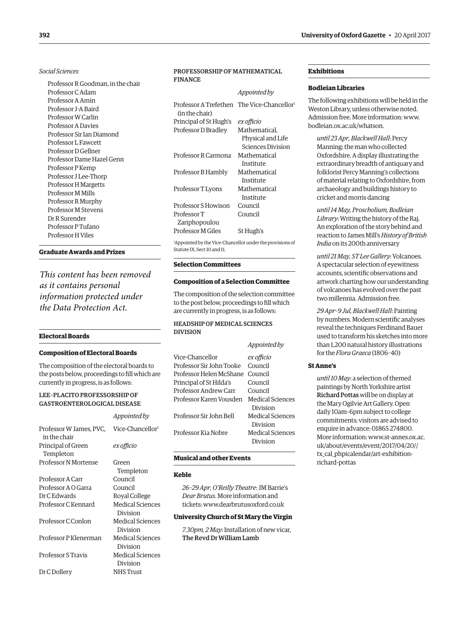#### *Social Sciences*

Professor R Goodman, in the chair Professor C Adam Professor A Amin Professor J-A Baird Professor W Carlin Professor A Davies Professor Sir Ian Diamond Professor L Fawcett Professor D Gellner Professor Dame Hazel Genn Professor P Kemp Professor J Lee-Thorp Professor H Margetts Professor M Mills Professor R Murphy Professor M Stevens Dr R Surender Professor P Tufano Professor H Viles

#### **Graduate Awards and Prizes**

*This content has been removed as it contains personal information protected under the Data Protection Act.*

#### **Electoral Boards**

#### **Composition of Electoral Boards**

The composition of the electoral boards to the posts below, proceedings to fill which are currently in progress, is as follows:

*Appointed by*

#### LEE–PLACITO PROFESSORSHIP OF GASTROENTEROLOGICAL DISEASE

| Professor W James, PVC, Vice-Chancellor <sup>1</sup><br>in the chair |                         |
|----------------------------------------------------------------------|-------------------------|
| Principal of Green<br>Templeton                                      | ex officio              |
| <b>Professor N Mortense</b>                                          | Green                   |
| Professor A Carr                                                     | Templeton<br>Council    |
| Professor A O Garra                                                  | Council                 |
| Dr C Edwards                                                         |                         |
|                                                                      | Royal College           |
| Professor C Kennard                                                  | <b>Medical Sciences</b> |
|                                                                      | Division                |
| Professor C Conlon                                                   | Medical Sciences        |
|                                                                      | Division                |
| Professor P Klenerman                                                | Medical Sciences        |
|                                                                      | Division                |
| Professor S Travis                                                   | Medical Sciences        |
|                                                                      | Division                |
| Dr C Dollery                                                         | NHS Trust               |
|                                                                      |                         |

#### PROFESSORSHIP OF MATHEMATICAL FINANCE

|                                                                          | Appointed by      |
|--------------------------------------------------------------------------|-------------------|
| Professor A Trefethen The Vice-Chancellor <sup>1</sup><br>(in the chair) |                   |
| Principal of St Hugh's                                                   | ex officio        |
| Professor D Bradley                                                      | Mathematical.     |
|                                                                          | Physical and Life |
|                                                                          | Sciences Division |
| Professor R Carmona                                                      | Mathematical      |
|                                                                          | Institute         |
| Professor B Hambly                                                       | Mathematical      |
|                                                                          | Institute         |
| Professor T Lyons                                                        | Mathematical      |
|                                                                          | Institute         |
| Professor S Howison                                                      | Council           |
| Professor T                                                              | Council           |
| Zariphopoulou                                                            |                   |
| Professor M Giles                                                        | St Hugh's         |
|                                                                          |                   |

1 Appointed by the Vice-Chancellor under the provisions of Statute IX, Sect 10 and 11.

#### **Selection Committees**

#### **Composition of a Selection Committee**

The composition of the selection committee to the post below, proceedings to fill which are currently in progress, is as follows:

#### HEADSHIP OF MEDICAL SCIENCES DIVISION

| Vice-Chancellor                          | ex officio              |
|------------------------------------------|-------------------------|
| Professor Sir John Tooke                 | Council                 |
| Professor Helen McShane - Council        |                         |
| Principal of St Hilda's                  | Council                 |
| Professor Andrew Carr                    | Council                 |
| Professor Karen Vousden Medical Sciences |                         |
|                                          | Division                |
| Professor Sir John Bell                  | <b>Medical Sciences</b> |
|                                          | Division                |
| Professor Kia Nobre                      | <b>Medical Sciences</b> |
|                                          | Division                |
|                                          |                         |

#### **Musical and other Events**

#### **Keble**

*26–29 Apr, O'Reilly Theatre*: JM Barrie's *Dear Brutus*. More information and tickets: www.dearbrutusoxford.co.uk

#### **University Church of St Mary the Virgin**

*7.30pm, 2 May*: Installation of new vicar, The Revd Dr William Lamb

#### **Exhibitions**

#### **Bodleian Libraries**

The following exhibitions will be held in the Weston Library, unless otherwise noted. Admission free. More information: www. bodleian.ox.ac.uk/whatson.

*until 23 Apr, Blackwell Hall*: Percy Manning: the man who collected Oxfordshire. A display illustrating the extraordinary breadth of antiquary and folklorist Percy Manning's collections of material relating to Oxfordshire, from archaeology and buildings history to cricket and morris dancing

*until 14 May, Proscholium, Bodleian Library*: Writing the history of the Raj. An exploration of the story behind and reaction to James Mill's *History of British India* on its 200th anniversary

*until 21 May, ST Lee Gallery*: Volcanoes. A spectacular selection of eyewitness accounts, scientific observations and artwork charting how our understanding of volcanoes has evolved over the past two millennia. Admission free.

*29 Apr–9 Jul, Blackwell Hall*: Painting by numbers. Modern scientific analyses reveal the techniques Ferdinand Bauer used to transform his sketches into more than 1,200 natural history illustrations for the *Flora Graeca* (1806–40)

#### **St Anne's**

*until 10 May*: a selection of themed paintings by North Yorkshire artist Richard Pottas will be on display at the Mary Ogilvie Art Gallery. Open daily 10am–6pm subject to college commitments; visitors are advised to enquire in advance: 01865 274800. [More information: www.st-annes.ox.ac.](http://www.st-annes.ox.ac.uk/about/events/event/2017/04/20//tx_cal_phpicalendar/art-exhibition-richard-pottas) uk/about/events/event/2017/04/20// tx\_cal\_phpicalendar/art-exhibitionrichard-pottas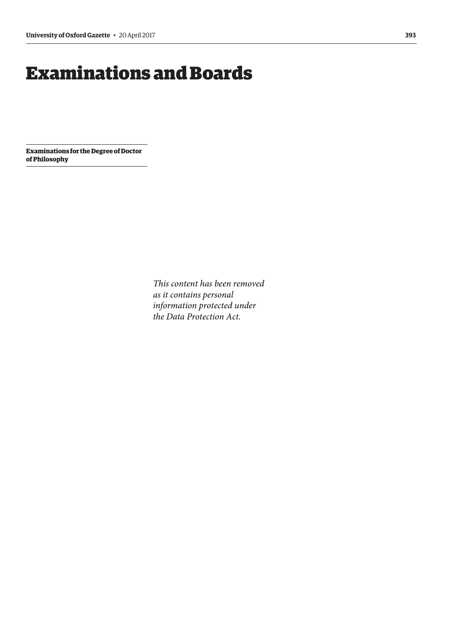## <span id="page-10-0"></span>Examinations and Boards

**Examinations for the Degree of Doctor of Philosophy**

> *This content has been removed as it contains personal information protected under the Data Protection Act.*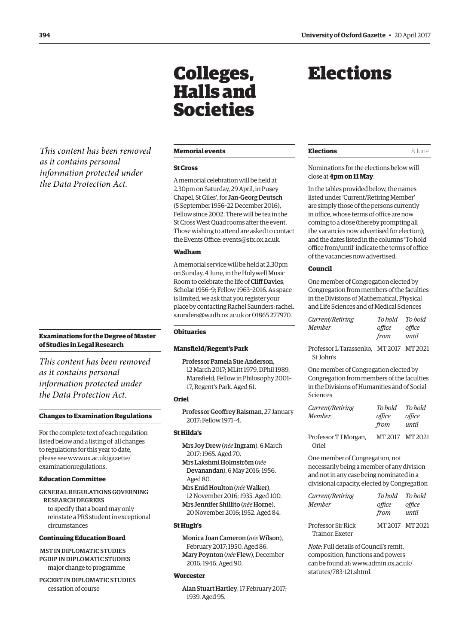<span id="page-11-0"></span>*This content has been removed as it contains personal information protected under the Data Protection Act.*

#### **Examinations for the Degree of Master of Studies in Legal Research**

*This content has been removed as it contains personal information protected under the Data Protection Act.*

#### **Changes to Examination Regulations**

For the complete text of each regulation listed below and a listing of all changes to regulations for this year to date, [please see www.ox.ac.uk/gazette/](http://www.ox.ac.uk/gazette/examinationregulations) examinationregulations.

#### **Education Committee**

#### GENERAL REGULATIONS GOVERNING RESEARCH DEGREES

to specify that a board may only reinstate a PRS student in exceptional circumstances

#### **Continuing Education Board**

MST IN DIPLOMATIC STUDIES PGDIP IN DIPLOMATIC STUDIES major change to programme

PGCERT IN DIPLOMATIC STUDIES cessation of course

#### **Memorial events**

Colleges,

Halls and

Societies

#### **St Cross**

A memorial celebration will be held at 2.30pm on Saturday, 29 April, in Pusey Chapel, St Giles', for Jan-Georg Deutsch (5 September 1956–22 December 2016), Fellow since 2002. There will be tea in the St Cross West Quad rooms after the event. Those wishing to attend are asked to contact the Events Office: events@stx.ox.ac.uk.

#### **Wadham**

A memorial service will be held at 2.30pm on Sunday, 4 June, in the Holywell Music Room to celebrate the life of Cliff Davies, Scholar 1956–9; Fellow 1963–2016. As space is limited, we ask that you register your place by contacting Rachel Saunders[: rachel.](mailto:rachel.saunders@wadh.ox.ac.uk) [saunders@wadh.ox.ac.uk](mailto:rachel.saunders@wadh.ox.ac.uk) or 01865 277970.

#### **Obituaries**

#### **Mansfield/Regent's Park**

Professor Pamela Sue Anderson, 12 March 2017; MLitt 1979, DPhil 1989, Mansfield; Fellow in Philosophy 2001– 17, Regent's Park. Aged 61.

#### **Oriel**

Professor Geoffrey Raisman, 27 January 2017; Fellow 1971–4.

#### **St Hilda's**

- Mrs Joy Drew (*née* Ingram), 6 March 2017; 1965. Aged 70.
- Mrs Lakshmi Holmström (*née* Devanandan), 6 May 2016; 1956. Aged 80.
- Mrs Enid Houlton (*née*Walker), 12 November 2016; 1935. Aged 100. Mrs Jennifer Shillito (*née* Horne), 20 November 2016; 1952. Aged 84.

#### **St Hugh's**

Monica Joan Cameron (*née* Wilson), February 2017; 1950. Aged 86. Mary Poynton (*née* Flew), December 2016; 1946. Aged 90.

#### **Worcester**

Alan Stuart Hartley, 17 February 2017; 1939. Aged 95.

## Elections

#### **Elections** 8 June

Nominations for the elections below will close at **4pm on 11 May**.

In the tables provided below, the names listed under 'Current/Retiring Member' are simply those of the persons currently in office, whose terms of office are now coming to a close (thereby prompting all the vacancies now advertised for election); and the dates listed in the columns 'To hold office from/until' indicate the terms of office of the vacancies now advertised.

#### **Council**

One member of Congregation elected by Congregation from members of the faculties in the Divisions of Mathematical, Physical and Life Sciences and of Medical Sciences

| Current/Retiring | To bold | To bold |
|------------------|---------|---------|
| Member           | office  | office  |
|                  | from    | until   |

Professor L Tarassenko, MT 2017 MT 2021 St John's

One member of Congregation elected by Congregation from members of the faculties in the Divisions of Humanities and of Social Sciences

| To bold       | To hold |
|---------------|---------|
| office        | office  |
| from          | until   |
| MT2017 MT2021 |         |
|               |         |

One member of Congregation, not necessarily being a member of any division and not in any case being nominated in a divisional capacity, elected by Congregation

| Current/Retiring   | To hold To hold |                 |
|--------------------|-----------------|-----------------|
| Member             | office<br>from  | office<br>until |
| Professor Sir Rick |                 | MT 2017 MT 2021 |
| Trainor, Exeter    |                 |                 |

*Note*: Full details of Council's remit, composition, functions and powers can be found at[: www.admin.ox.ac.uk/](http://www.admin.ox.ac.uk/statutes/783-121.shtml) [statutes/783-121.shtml.](http://www.admin.ox.ac.uk/statutes/783-121.shtml)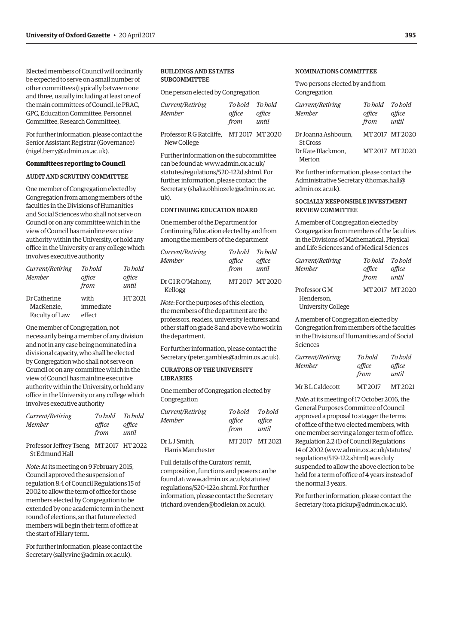Elected members of Council will ordinarily be expected to serve on a small number of other committees (typically between one and three, usually including at least one of the main committees of Council, ie PRAC, GPC, Education Committee, Personnel Committee, Research Committee).

For further information, please contact the Senior Assistant Registrar (Governance) (nigel.berry@admin.ox.ac.uk).

#### **Committees reporting to Council**

#### AUDIT AND SCRUTINY COMMITTEE

One member of Congregation elected by Congregation from among members of the faculties in the Divisions of Humanities and Social Sciences who shall not serve on Council or on any committee which in the view of Council has mainline executive authority within the University, or hold any office in the University or any college which involves executive authority

| Current/Retiring<br><b>Member</b> | To bold<br>office<br>from | To bold<br>office<br>until |
|-----------------------------------|---------------------------|----------------------------|
| Dr Catherine                      | with                      | HT 2021                    |
| MacKenzie.<br>Faculty of Law      | immediate<br>effect       |                            |

One member of Congregation, not necessarily being a member of any division and not in any case being nominated in a divisional capacity, who shall be elected by Congregation who shall not serve on Council or on any committee which in the view of Council has mainline executive authority within the University, or hold any office in the University or any college which involves executive authority

| Current/Retiring | To hold | To bold |
|------------------|---------|---------|
| Member           | office  | office  |
|                  | from    | until   |

Professor Jeffrey Tseng, MT 2017 HT 2022 St Edmund Hall

*Note*: At its meeting on 9 February 2015, Council approved the suspension of regulation 8.4 of Council Regulations 15 of 2002 to allow the term of office for those members elected by Congregation to be extended by one academic term in the next round of elections, so that future elected members will begin their term of office at the start of Hilary term.

For further information, please contact the Secretary (sally.vine@admin.ox.ac.uk).

#### BUILDINGS AND ESTATES SUBCOMMITTEE

New College

One person elected by Congregation

| <i>Current/Retiring</i><br>Member        | To hold To hold<br>office<br>from | office<br>until |
|------------------------------------------|-----------------------------------|-----------------|
| Professor R G Ratcliffe. MT 2017 MT 2020 |                                   |                 |

Further information on the subcommittee can be found at: [www.admin.ox.ac.uk/](http://www.admin.ox.ac.uk/statutes/regulations/520-122d.shtml) [statutes/regulations/520-122d.shtml](http://www.admin.ox.ac.uk/statutes/regulations/520-122d.shtml). For further information, please contact the Secretary (shaka.obhiozele@admin.ox.ac. uk).

#### CONTINUING EDUCATION BOARD

One member of the Department for Continuing Education elected by and from among the members of the department

| Current/Retiring           | To hold To hold |                 |
|----------------------------|-----------------|-----------------|
| <b>Member</b>              | office          | office          |
|                            | from            | until           |
| Dr CIRO'Mahony,<br>Kellogg |                 | MT 2017 MT 2020 |

*Note*: For the purposes of this election, the members of the department are the professors, readers, university lecturers and other staff on grade 8 and above who work in the department.

For further information, please contact the Secretary (peter.gambles@admin.ox.ac.uk).

#### CURATORS OF THE UNIVERSITY LIBRARIES

One member of Congregation elected by Congregation

| <i>Current/Retiring</i><br>Member | To bold<br>office<br>from | To bold<br>office<br>until |
|-----------------------------------|---------------------------|----------------------------|
| Dr L J Smith.                     |                           | MT 2017 MT 2021            |
| Harris Manchester                 |                           |                            |

Full details of the Curators' remit, composition, functions and powers can be found at: [www.admin.ox.ac.uk/statutes/](http://www.admin.ox.ac.uk/statutes/regulations/520-122o.shtml) [regulations/520-122o.shtml.](http://www.admin.ox.ac.uk/statutes/regulations/520-122o.shtml) For further information, please contact the Secretary (richard.ovenden@bodleian.ox.ac.uk).

#### NOMINATIONS COMMITTEE

Two persons elected by and from Congregation

| Current/Retiring    | To hold To hold |                 |
|---------------------|-----------------|-----------------|
| <b>Member</b>       | office          | office          |
|                     | from            | until           |
| Dr Joanna Ashbourn, |                 | MT 2017 MT 2020 |
| <b>St Cross</b>     |                 |                 |
| Dr Kate Blackmon,   |                 | MT 2017 MT 2020 |
| Merton              |                 |                 |

For further information, please contact the Administrative Secretary (thomas.hall@ admin.ox.ac.uk).

#### SOCIALLY RESPONSIBLE INVESTMENT REVIEW COMMITTEE

A member of Congregation elected by Congregation from members of the faculties in the Divisions of Mathematical, Physical and Life Sciences and of Medical Sciences

| Current/Retiring          | To hold To hold |               |
|---------------------------|-----------------|---------------|
| <b>Member</b>             | office          | office        |
|                           | from            | until         |
| Professor G M             |                 | MT2017 MT2020 |
| Henderson.                |                 |               |
| <b>University College</b> |                 |               |

A member of Congregation elected by Congregation from members of the faculties in the Divisions of Humanities and of Social Sciences

| <i>Current/Retiring</i><br><b>Member</b> | To bold<br>office<br>from | To hold<br>office<br>until |
|------------------------------------------|---------------------------|----------------------------|
| Mr B L Caldecott                         | MT 2017                   | MT 2021                    |

*Note*: at its meeting of 17 October 2016, the General Purposes Committee of Council approved a proposal to stagger the terms of office of the two elected members, with one member serving a longer term of office. Regulation 2.2 (1) of Council Regulations 14 of 2002 (www.admin.ox.ac.uk/statutes/ regulations/519-122.shtml) was duly suspended to allow the above election to be held for a term of office of 4 years instead of the normal 3 years.

For further information, please contact the Secretary (tora.pickup@admin.ox.ac.uk).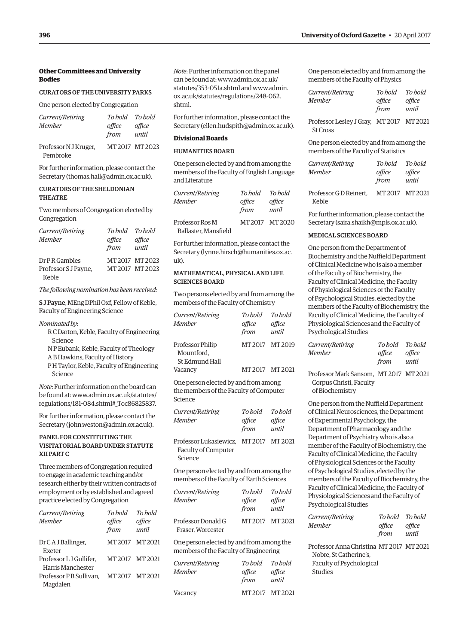#### **Other Committees and University Bodies**

#### CURATORS OF THE UNIVERSITY PARKS

One person elected by Congregation

| Current/Retiring                  | To hold To hold |                 |
|-----------------------------------|-----------------|-----------------|
| Member                            | office<br>from  | office<br>until |
| Professor N J Kruger,<br>Pembroke |                 | MT 2017 MT 2023 |

For further information, please contact the Secretary (thomas.hall@admin.ox.ac.uk).

#### CURATORS OF THE SHELDONIAN **THEATRE**

Two members of Congregation elected by Congregation

| Current/Retiring<br>Member | To hold To hold<br>office<br>from | office<br>until |
|----------------------------|-----------------------------------|-----------------|
| Dr P R Gambles             |                                   | MT 2017 MT 2023 |
| Professor S J Payne,       |                                   | MT 2017 MT 2023 |
| Keble                      |                                   |                 |

#### *The following nomination has been received:*

S J Payne, MEng DPhil Oxf, Fellow of Keble, Faculty of Engineering Science

*Nominated by*:

- R C Darton, Keble, Faculty of Engineering Science
- N P Eubank, Keble, Faculty of Theology
- A B Hawkins, Faculty of History
- P H Taylor, Keble, Faculty of Engineering Science

*Note*: Further information on the board can be found at: www.admin.ox.ac.uk/statutes/ [regulations/181-084.shtml#\\_Toc86825837.](http://www.admin.ox.ac.uk/statutes/regulations/181-084.shtml#_Toc86825837)

For further information, please contact the Secretary (john.weston@admin.ox.ac.uk).

#### PANEL FOR CONSTITUTING THE VISITATORIAL BOARD UNDER STATUTE XII PART C

Three members of Congregation required to engage in academic teaching and/or research either by their written contracts of employment or by established and agreed practice elected by Congregation

| To hold<br>office<br>from | To hold<br>office<br>until |
|---------------------------|----------------------------|
| MT 2017 MT 2021           |                            |
| MT 2017 MT 2021           |                            |
| MT2017 MT2021             |                            |
|                           |                            |

*Note*: Further information on the panel can be found at[: www.admin.ox.ac.uk/](http://www.admin.ox.ac.uk/statutes/353-051a.shtml) [statutes/353-051a.shtml a](http://www.admin.ox.ac.uk/statutes/353-051a.shtml)nd [www.admin.](http://www.admin.ox.ac.uk/statutes/regulations/248-062.shtml) [ox.ac.uk/statutes/regulations/248-062.](http://www.admin.ox.ac.uk/statutes/regulations/248-062.shtml) shtml.

For further information, please contact the Secretary (ellen.hudspith@admin.ox.ac.uk).

#### **Divisional Boards**

#### HUMANITIES BOARD

One person elected by and from among the members of the Faculty of English Language and Literature

| Current/Retiring<br><b>Member</b>       | To bold<br>office<br>from | To bold<br>office<br>until |
|-----------------------------------------|---------------------------|----------------------------|
| Professor Ros M<br>Ballaster. Mansfield |                           | MT2017 MT2020              |

For further information, please contact the Secretary (lynne.hirsch@humanities.ox.ac.  $11k$ 

#### MATHEMATICAL, PHYSICAL AND LIFE SCIENCES BOARD

Two persons elected by and from among the members of the Faculty of Chemistry

| Current/Retiring                                        | To hold | To hold         |
|---------------------------------------------------------|---------|-----------------|
| <b>Member</b>                                           | office  | office          |
|                                                         | from    | until           |
| <b>Professor Philip</b><br>Mountford.<br>St Edmund Hall |         | MT 2017 MT 2019 |
| Vacancy                                                 | MT 2017 | MT 2021         |

One person elected by and from among the members of the Faculty of Computer Science

| Current/Retiring<br><b>Member</b>                                        | To bold<br>office<br>from | To hold<br>office<br>until |
|--------------------------------------------------------------------------|---------------------------|----------------------------|
| Professor Lukasiewicz, MT 2017 MT 2021<br>Faculty of Computer<br>Science |                           |                            |
| .                                                                        |                           |                            |

One person elected by and from among the members of the Faculty of Earth Sciences

| Current/Retiring<br><b>Member</b>                                                 | To hold<br>office<br>from | To hold<br>office<br>until |
|-----------------------------------------------------------------------------------|---------------------------|----------------------------|
| Professor Donald G<br>Fraser. Worcester                                           | MT 2017                   | MT 2021                    |
| One person elected by and from among the<br>members of the Faculty of Engineering |                           |                            |
| Current/Retiring<br><b>Member</b>                                                 | To hold<br>office<br>from | To hold<br>ttice<br>until  |

Vacancy MT 2017 MT 2021

One person elected by and from among the members of the Faculty of Physics

| Current/Retiring                         | To hold        | To hold         |
|------------------------------------------|----------------|-----------------|
| Member                                   | office<br>from | office<br>until |
| Professor Lesley J Gray, MT 2017 MT 2021 |                |                 |

One person elected by and from among the members of the Faculty of Statistics

| <i>Current/Retiring</i><br>Member | To hold<br>office<br>from | To hold<br>office<br>until |
|-----------------------------------|---------------------------|----------------------------|
| ProfegorGDRqinort                 | MT2017 MT202              |                            |

Professor G D Reinert, MT 2017 MT 2021 Keble

For further information, please contact the Secretary (saira.shaikh@mpls.ox.ac.uk).

#### MEDICAL SCIENCES BOARD

St Cross

One person from the Department of Biochemistry and the Nuffield Department of Clinical Medicine who is also a member of the Faculty of Biochemistry, the Faculty of Clinical Medicine, the Faculty of Physiological Sciences or the Faculty of Psychological Studies, elected by the members of the Faculty of Biochemistry, the Faculty of Clinical Medicine, the Faculty of Physiological Sciences and the Faculty of Psychological Studies

| Current/Retiring | To bold | To hold |
|------------------|---------|---------|
| Member           | office  | office  |
|                  | from    | until   |

Professor Mark Sansom, MT 2017 MT 2021 Corpus Christi, Faculty of Biochemistry

One person from the Nuffield Department of Clinical Neurosciences, the Department of Experimental Psychology, the Department of Pharmacology and the Department of Psychiatry who is also a member of the Faculty of Biochemistry, the Faculty of Clinical Medicine, the Faculty of Physiological Sciences or the Faculty of Psychological Studies, elected by the members of the Faculty of Biochemistry, the Faculty of Clinical Medicine, the Faculty of Physiological Sciences and the Faculty of Psychological Studies

| <i>Current/Retiring</i> | To hold To hold |        |
|-------------------------|-----------------|--------|
| Member                  | office          | office |
|                         | from            | until  |
|                         |                 |        |

Professor Anna Christina MT 2017 MT 2021 Nobre, St Catherine's, Faculty of Psychological Studies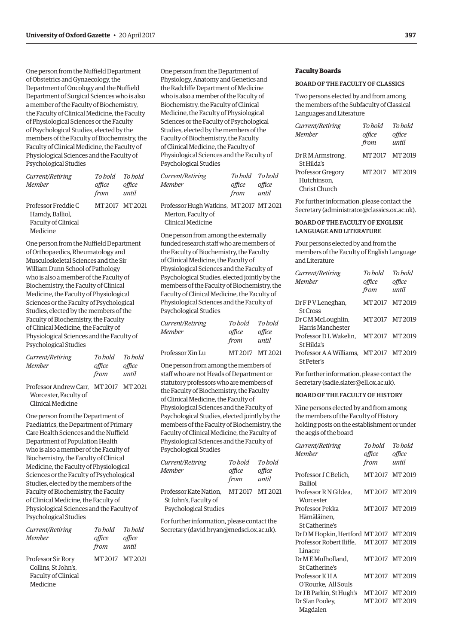One person from the Nuffield Department of Obstetrics and Gynaecology, the Department of Oncology and the Nuffield Department of Surgical Sciences who is also a member of the Faculty of Biochemistry, the Faculty of Clinical Medicine, the Faculty of Physiological Sciences or the Faculty of Psychological Studies, elected by the members of the Faculty of Biochemistry, the Faculty of Clinical Medicine, the Faculty of Physiological Sciences and the Faculty of Psychological Studies

| Current/Retiring<br><b>Member</b>                                         | To hold<br>office<br>from | To hold<br>office<br>until |
|---------------------------------------------------------------------------|---------------------------|----------------------------|
| Professor Freddie C<br>Hamdy, Balliol,<br>Faculty of Clinical<br>Medicine | MT 2017 MT 2021           |                            |

One person from the Nuffield Department of Orthopaedics, Rheumatology and Musculoskeletal Sciences and the Sir William Dunn School of Pathology who is also a member of the Faculty of Biochemistry, the Faculty of Clinical Medicine, the Faculty of Physiological Sciences or the Faculty of Psychological Studies, elected by the members of the Faculty of Biochemistry, the Faculty of Clinical Medicine, the Faculty of Physiological Sciences and the Faculty of Psychological Studies

| Current/Retiring                       | To bold | To bold |
|----------------------------------------|---------|---------|
| Member                                 | office  | office  |
|                                        | from    | until   |
| Professor Andrew Carr. MT 2017 MT 2021 |         |         |
| Worcester, Faculty of                  |         |         |

Clinical Medicine

One person from the Department of Paediatrics, the Department of Primary Care Health Sciences and the Nuffield Department of Population Health who is also a member of the Faculty of Biochemistry, the Faculty of Clinical Medicine, the Faculty of Physiological Sciences or the Faculty of Psychological Studies, elected by the members of the Faculty of Biochemistry, the Faculty of Clinical Medicine, the Faculty of Physiological Sciences and the Faculty of Psychological Studies

| Current/Retiring<br><b>Member</b>                                                   | To hold<br>office<br>from | To hold<br>office<br>until |
|-------------------------------------------------------------------------------------|---------------------------|----------------------------|
| Professor Sir Rory<br>Collins, St John's,<br><b>Faculty of Clinical</b><br>Medicine | MT 2017 MT 2021           |                            |

One person from the Department of Physiology, Anatomy and Genetics and the Radcliffe Department of Medicine who is also a member of the Faculty of Biochemistry, the Faculty of Clinical Medicine, the Faculty of Physiological Sciences or the Faculty of Psychological Studies, elected by the members of the Faculty of Biochemistry, the Faculty of Clinical Medicine, the Faculty of Physiological Sciences and the Faculty of Psychological Studies

| <i>Current/Retiring</i><br>Member                                                                                                                                                                                                                                               | To hold To hold<br>office<br>from | office<br>until |
|---------------------------------------------------------------------------------------------------------------------------------------------------------------------------------------------------------------------------------------------------------------------------------|-----------------------------------|-----------------|
| $D_{11}$ , $L_{22}$ , $L_{11}$ , $L_{11}$ , $L_{12}$ , $L_{11}$ , $L_{12}$ , $L_{11}$ , $L_{11}$ , $L_{11}$ , $L_{11}$ , $L_{11}$ , $L_{11}$ , $L_{11}$ , $L_{11}$ , $L_{11}$ , $L_{11}$ , $L_{11}$ , $L_{11}$ , $L_{11}$ , $L_{11}$ , $L_{11}$ , $L_{11}$ , $L_{11}$ , $L_{11$ |                                   |                 |

Professor Hugh Watkins, MT 2017 MT 2021 Merton, Faculty of Clinical Medicine

One person from among the externally funded research staff who are members of the Faculty of Biochemistry, the Faculty of Clinical Medicine, the Faculty of Physiological Sciences and the Faculty of Psychological Studies, elected jointly by the members of the Faculty of Biochemistry, the Faculty of Clinical Medicine, the Faculty of Physiological Sciences and the Faculty of Psychological Studies

| Current/Retiring | To hold         | To hold         |
|------------------|-----------------|-----------------|
| Member           | office<br>from  | office<br>until |
| Professor Xin Lu | MT 2017 MT 2021 |                 |

One person from among the members of staff who are not Heads of Department or statutory professors who are members of the Faculty of Biochemistry, the Faculty of Clinical Medicine, the Faculty of Physiological Sciences and the Faculty of Psychological Studies, elected jointly by the members of the Faculty of Biochemistry, the Faculty of Clinical Medicine, the Faculty of Physiological Sciences and the Faculty of Psychological Studies

| Current/Retiring       | To bold         | To hold |
|------------------------|-----------------|---------|
| Member                 | office          | office  |
|                        | from            | until   |
| Professor Kate Nation, | MT 2017 MT 2021 |         |
| St John's, Faculty of  |                 |         |
| Psychological Studies  |                 |         |

For further information, please contact the Secretary (david.bryan@medsci.ox.ac.uk).

#### **Faculty Boards**

#### BOARD OF THE FACULTY OF CLASSICS

Two persons elected by and from among the members of the Subfaculty of Classical Languages and Literature

| Current/Retiring  | To hold | To hold |
|-------------------|---------|---------|
| <b>Member</b>     | office  | office  |
|                   | from    | until   |
| Dr R M Armstrong, | MT 2017 | MT 2019 |
| St Hilda's        |         |         |
| Professor Gregory | MT 2017 | MT 2019 |
| Hutchinson.       |         |         |
| Christ Church     |         |         |

For further information, please contact the Secretary (administrator@classics.ox.ac.uk).

#### BOARD OF THE FACULTY OF ENGLISH LANGUAGE AND LITERATURE

Four persons elected by and from the members of the Faculty of English Language and Literature

| Current/Retiring<br>Member              | To hold<br>office<br>from | To hold<br>office<br>until |
|-----------------------------------------|---------------------------|----------------------------|
| Dr F P V Leneghan,                      |                           | MT 2017 MT 2019            |
| <b>St Cross</b>                         |                           |                            |
| Dr C M McLoughlin,                      |                           | MT 2017 MT 2019            |
| Harris Manchester                       |                           |                            |
| Professor D L Wakelin.                  | MT 2017 MT 2019           |                            |
| St Hilda's                              |                           |                            |
| Professor A A Williams. MT 2017 MT 2019 |                           |                            |
| St Peter's                              |                           |                            |

For further information, please contact the Secretary (sadie.slater@ell.ox.ac.uk).

#### BOARD OF THE FACULTY OF HISTORY

Nine persons elected by and from among the members of the Faculty of History holding posts on the establishment or under the aegis of the board

| Current/Retiring                        | To bold         | To hold |
|-----------------------------------------|-----------------|---------|
| <b>Member</b>                           | office          | office  |
|                                         | from            | until   |
| Professor J C Belich.<br><b>Balliol</b> | MT 2017 MT 2019 |         |
| Professor R N Gildea.<br>Worcester      | MT2017 MT2019   |         |
| Professor Pekka                         | MT2017 MT2019   |         |
| Hämäläinen,                             |                 |         |
| St Catherine's                          |                 |         |
| Dr D M Hopkin, Hertford MT 2017 MT 2019 |                 |         |
| Professor Robert Iliffe. MT2017 MT2019  |                 |         |
| Linacre                                 |                 |         |
| Dr ME Mulholland.                       | MT2017 MT2019   |         |
| St Catherine's                          |                 |         |
| Professor K H A                         | MT2017 MT2019   |         |
| O'Rourke, All Souls                     |                 |         |
| Dr J B Parkin, St Hugh's                | MT2017 MT2019   |         |
| Dr Sîan Pooley,                         | MT2017 MT2019   |         |
| Magdalen                                |                 |         |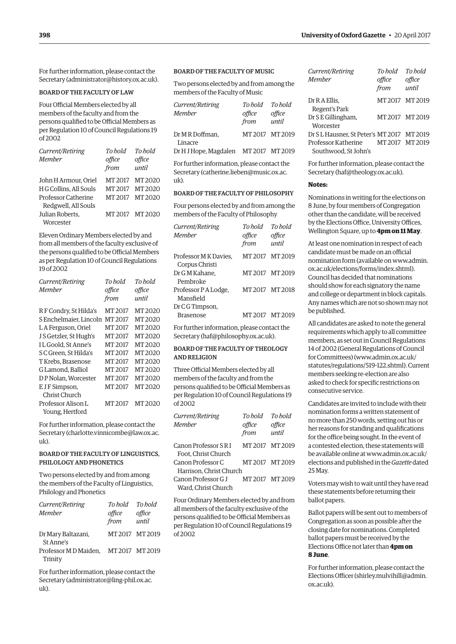For further information, please contact the Secretary (administrator@history.ox.ac.uk).

#### BOARD OF THE FACULTY OF LAW

Four Official Members elected by all members of the faculty and from the persons qualified to be Official Members as per Regulation 10 of Council Regulations 19 of 2002

| Current/Retiring<br><b>Member</b>                                                            | To hold<br>office<br>from     | To hold<br>office<br>until    |
|----------------------------------------------------------------------------------------------|-------------------------------|-------------------------------|
| John H Armour. Oriel<br>H G Collins, All Souls<br>Professor Catherine<br>Redgwell, All Souls | MT 2017<br>MT 2017<br>MT 2017 | MT 2020<br>MT 2020<br>MT 2020 |
| Julian Roberts.<br>Worcester                                                                 | MT 2017                       | MT 2020                       |

Eleven Ordinary Members elected by and from all members of the faculty exclusive of the persons qualified to be Official Members as per Regulation 10 of Council Regulations 19 of 2002

| Current/Retiring       | To hold | To bold |
|------------------------|---------|---------|
| Member                 | office  | office  |
|                        | from    | until   |
| RF Condry, St Hilda's  | MT 2017 | MT 2020 |
| S Enchelmaier, Lincoln | MT 2017 | MT 2020 |
| LA Ferguson, Oriel     | MT 2017 | MT 2020 |
| J S Getzler, St Hugh's | MT 2017 | MT 2020 |
| IL Goold. St Anne's    | MT 2017 | MT 2020 |
| S C Green. St Hilda's  | MT 2017 | MT 2020 |
| T Krebs, Brasenose     | MT 2017 | MT 2020 |
| G Lamond. Balliol      | MT 2017 | MT 2020 |
| DP Nolan, Worcester    | MT 2017 | MT 2020 |
| E JF Simpson,          | MT 2017 | MT 2020 |
| Christ Church          |         |         |
| Professor Alison L     | MT 2017 | MT 2020 |
| Young, Hertford        |         |         |

For further information, please contact the Secretary (charlotte.vinnicombe@law.ox.ac.  $11k$ ).

#### BOARD OF THE FACULTY OF LINGUISTICS, PHILOLOGY AND PHONETICS

Two persons elected by and from among the members of the Faculty of Linguistics, Philology and Phonetics

| Current/Retiring                     | To hold To hold |               |
|--------------------------------------|-----------------|---------------|
| Member                               | office          | office        |
|                                      | from            | until         |
| Dr Mary Baltazani,                   |                 | MT2017 MT2019 |
| St Anne's                            |                 |               |
| Professor MD Maiden, MT 2017 MT 2019 |                 |               |
| Trinity                              |                 |               |

For further information, please contact the Secretary (administrator@ling-phil.ox.ac. uk).

#### BOARD OF THE FACULTY OF MUSIC

Two persons elected by and from among the members of the Faculty of Music

| Current/Retiring                             | To hold         | To hold |
|----------------------------------------------|-----------------|---------|
| <b>Member</b>                                | office          | office  |
|                                              | from            | until   |
| Dr M R Doffman,                              | MT 2017 MT 2019 |         |
| Linacre                                      |                 |         |
| Dr H J Hope, Magdalen MT 2017 MT 2019        |                 |         |
| For further information, please contact the  |                 |         |
| Coquetaux (oath eule e lieben Queusia est ag |                 |         |

Secretary (catherine.lieben@music.ox.ac. uk).

#### BOARD OF THE FACULTY OF PHILOSOPHY

Four persons elected by and from among the members of the Faculty of Philosophy

*Current/Retiring To hold To hold*

| <i>Current/Retiring</i><br><b>Member</b>    | но тош<br>office<br>from | ,,,,,,,,,<br>office<br>until |
|---------------------------------------------|--------------------------|------------------------------|
| Professor M K Davies,<br>Corpus Christi     |                          | MT 2017 MT 2019              |
| Dr G M Kahane,<br>Pembroke                  |                          | MT2017 MT2019                |
| Professor PA Lodge,<br>Mansfield            |                          | MT2017 MT2018                |
| Dr C G Timpson,<br><b>Brasenose</b>         |                          | MT 2017 MT 2019              |
| For further information, please contact the |                          |                              |

Secretary (haf@philosophy.ox.ac.uk).

#### BOARD OF THE FACULTY OF THEOLOGY AND RELIGION

Three Official Members elected by all members of the faculty and from the persons qualified to be Official Members as per Regulation 10 of Council Regulations 19 of 2002

| Current/Retiring        | To hold        | To hold         |
|-------------------------|----------------|-----------------|
| <b>Member</b>           | office<br>from | office<br>until |
| Canon Professor S R I   | MT2017 MT2019  |                 |
| Foot. Christ Church     |                |                 |
| Canon Professor C       | MT2017 MT2019  |                 |
| Harrison, Christ Church |                |                 |
| Canon Professor G J     | MT2017 MT2019  |                 |
| Ward, Christ Church     |                |                 |

Four Ordinary Members elected by and from all members of the faculty exclusive of the persons qualified to be Official Members as per Regulation 10 of Council Regulations 19 of 2002

| Current/Retiring                          | To hold         | To hold         |
|-------------------------------------------|-----------------|-----------------|
| Member                                    | office<br>from  | office<br>until |
| Dr R A Ellis,<br>Regent's Park            | MT 2017 MT 2019 |                 |
| Dr S E Gillingham,<br>Worcester           | MT 2017 MT 2019 |                 |
| Dr SL Hausner, St Peter's MT 2017 MT 2019 |                 |                 |
| Professor Katherine MT 2017 MT 2019       |                 |                 |
| Southwood, St John's                      |                 |                 |

For further information, please contact the Secretary (haf@theology.ox.ac.uk).

#### **Notes:**

Nominations in writing for the elections on 8 June, by four members of Congregation other than the candidate, will be received by the Elections Office, University Offices, Wellington Square, up to **4pm on 11 May**.

At least one nomination in respect of each candidate must be made on an official nomination form (available on [www.admin.](http://www.admin.ox.ac.uk/elections/forms/index.shtml) [ox.ac.uk/elections/forms/index.shtml\).](http://www.admin.ox.ac.uk/elections/forms/index.shtml) Council has decided that nominations should show for each signatory the name and college or department in block capitals. Any names which are not so shown may not be published.

All candidates are asked to note the general requirements which apply to all committee members, as set out in Council Regulations 14 of 2002 (General Regulations of Council for Committees) (www.admin.ox.ac.uk/ statutes/regulations/519-122.shtml). Current members seeking re-election are also asked to check for specific restrictions on consecutive service.

Candidates are invited to include with their nomination forms a written statement of no more than 250 words, setting out his or her reasons for standing and qualifications for the office being sought. In the event of a contested election, these statements will be available online a[t www.admin.ox.ac.uk/](http://www.admin.ox.ac.uk/elections) [elections a](http://www.admin.ox.ac.uk/elections)nd published in the *Gazette* dated 25 May.

Voters may wish to wait until they have read these statements before returning their ballot papers.

Ballot papers will be sent out to members of Congregation as soon as possible after the closing date for nominations. Completed ballot papers must be received by the Elections Office not later than **4pm on 8 June**.

For further information, please contact the Elections Officer (shirley.mulvihill@admin. ox.ac.uk).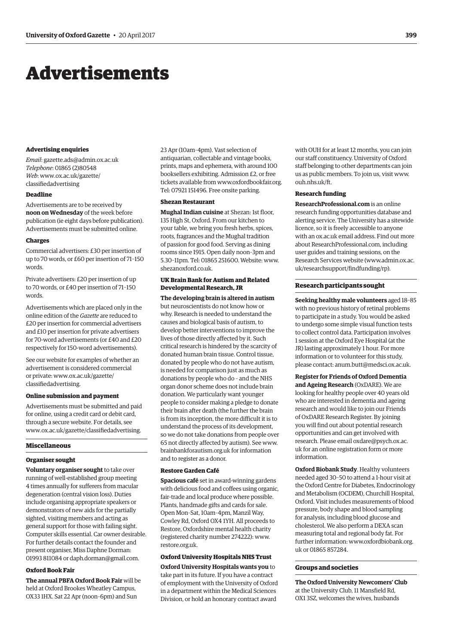## <span id="page-16-0"></span>Advertisements

#### **Advertising enquiries**

*Email*: gazette.ads@admin.ox.ac.uk *Telephone*: 01865 (2)80548 *Web*[: www.ox.ac.uk/gazette/](http://www.ox.ac.uk/gazette/classifiedadvertising) classifiedadvertising

#### **Deadline**

Advertisements are to be received by **noon on Wednesday** of the week before publication (ie eight days before publication). Advertisements must be submitted online.

#### **Charges**

Commercial advertisers: £30 per insertion of up to 70 words, or £60 per insertion of 71–150 words.

Private advertisers: £20 per insertion of up to 70 words, or £40 per insertion of 71–150 words.

Advertisements which are placed only in the online edition of the *Gazette* are reduced to £20 per insertion for commercial advertisers and £10 per insertion for private advertisers for 70-word advertisements (or £40 and £20 respectively for 150-word advertisements).

See our website for examples of whether an advertisement is considered commercial [or private: www.ox.ac.uk/gazette/](http://www.ox.ac.uk/gazette/classifiedadvertising) classifiedadvertising.

#### **Online submission and payment**

Advertisements must be submitted and paid for online, using a credit card or debit card, through a secure website. For details, see www.ox.ac.uk/gazette/classifiedadvertising.

#### **Miscellaneous**

#### **Organiser sought**

**Voluntary organiser sought** to take over running of well-established group meeting 4 times annually for sufferers from macular degeneration (central vision loss). Duties include organising appropriate speakers or demonstrators of new aids for the partially sighted, visiting members and acting as general support for those with failing sight. Computer skills essential. Car owner desirable. For further details contact the founder and present organiser, Miss Daphne Dorman: 01993 811084 or daph.dorman@gmail.com.

#### **Oxford Book Fair**

**The annual PBFA Oxford Book Fair** will be held at Oxford Brookes Wheatley Campus, OX33 1HX. Sat 22 Apr (noon–6pm) and Sun

23 Apr (10am–4pm). Vast selection of antiquarian, collectable and vintage books, prints, maps and ephemera, with around 100 booksellers exhibiting. Admission £2, or free tickets available from www.oxfordbookfair.org. Tel: 07921 151496. Free onsite parking.

#### **Shezan Restaurant**

**Mughal Indian cuisine** at Shezan: 1st floor, 135 High St, Oxford. From our kitchen to your table, we bring you fresh herbs, spices, roots, fragrances and the Mughal tradition of passion for good food. Serving as dining rooms since 1915. Open daily noon–3pm and 5.30–11pm. Tel: 01865 251600. Website: www. shezanoxford.co.uk.

#### **UK Brain Bank for Autism and Related Developmental Research, JR**

**The developing brain is altered in autism** but neuroscientists do not know how or why. Research is needed to understand the causes and biological basis of autism, to develop better interventions to improve the lives of those directly affected by it. Such critical research is hindered by the scarcity of donated human brain tissue. Control tissue, donated by people who do not have autism, is needed for comparison just as much as donations by people who do – and the NHS organ donor scheme does not include brain donation. We particularly want younger people to consider making a pledge to donate their brain after death (the further the brain is from its inception, the more difficult it is to understand the process of its development, so we do not take donations from people over 65 not directly affected by autism). See www. brainbankforautism.org.uk for information and to register as a donor.

#### **Restore Garden Café**

**Spacious café** set in award-winning gardens with delicious food and coffees using organic, fair-trade and local produce where possible. Plants, handmade gifts and cards for sale. Open Mon–Sat, 10am–4pm, Manzil Way, Cowley Rd, Oxford OX4 1YH. All proceeds to Restore, Oxfordshire mental health charity (registered charity number 274222): www. restore.org.uk.

#### **Oxford University Hospitals NHS Trust**

**Oxford University Hospitals wants you** to take part in its future. If you have a contract of employment with the University of Oxford in a department within the Medical Sciences Division, or hold an honorary contract award

with OUH for at least 12 months, you can join our staff constituency. University of Oxford staff belonging to other departments can join us as public members. To join us, visit www. ouh.nhs.uk/ft.

#### **Research funding**

**ResearchProfessional.com** is an online research funding opportunities database and alerting service. The University has a sitewide licence, so it is freely accessible to anyone with an ox.ac.uk email address. Find out more about ResearchProfessional.com, including user guides and training sessions, on the Research Services website (www.admin.ox.ac. uk/researchsupport/findfunding/rp).

#### **Research participants sought**

**Seeking healthy male volunteers** aged 18–85 with no previous history of retinal problems to participate in a study. You would be asked to undergo some simple visual function tests to collect control data. Participation involves 1 session at the Oxford Eye Hospital (at the JR) lasting approximately 1 hour. For more information or to volunteer for this study, please contact: anum.butt@medsci.ox.ac.uk.

**Register for Friends of Oxford Dementia and Ageing Research** (OxDARE). We are looking for healthy people over 40 years old who are interested in dementia and ageing research and would like to join our Friends of OxDARE Research Register. By joining you will find out about potential research opportunities and can get involved with research. Please emai[l oxdare@psych.ox.ac.](mailto:oxdare@psych.ox.ac.uk) [uk f](mailto:oxdare@psych.ox.ac.uk)or an online registration form or more information.

**Oxford Biobank Study**. Healthy volunteers needed aged 30–50 to attend a 1-hour visit at the Oxford Centre for Diabetes, Endocrinology and Metabolism (OCDEM), Churchill Hospital, Oxford. Visit includes measurements of blood pressure, body shape and blood sampling for analysis, including blood glucose and cholesterol. We also perform a DEXA scan measuring total and regional body fat. For further information: [www.oxfordbiobank.org.](http://www.oxfordbiobank.org.uk) uk or 01865 857284.

#### **Groups and societies**

**The Oxford University Newcomers' Club** at the University Club, 11 Mansfield Rd, OX1 3SZ, welcomes the wives, husbands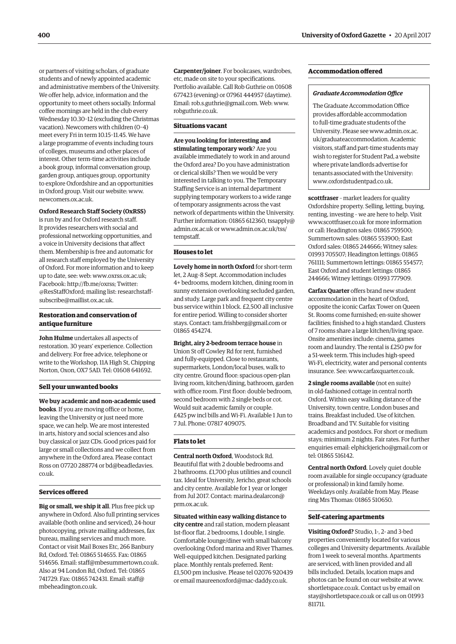or partners of visiting scholars, of graduate students and of newly appointed academic and administrative members of the University. We offer help, advice, information and the opportunity to meet others socially. Informal coffee mornings are held in the club every Wednesday 10.30–12 (excluding the Christmas vacation). Newcomers with children (0–4) meet every Fri in term 10.15–11.45. We have a large programme of events including tours of colleges, museums and other places of interest. Other term-time activities include a book group, informal conversation group, garden group, antiques group, opportunity to explore Oxfordshire and an opportunities in Oxford group. Visit our website: www. newcomers.ox.ac.uk.

#### **Oxford Research Staff Society (OxRSS)**

is run by and for Oxford research staff. It provides researchers with social and professional networking opportunities, and a voice in University decisions that affect them. Membership is free and automatic for all research staff employed by the University of Oxford. For more information and to keep up to date, see: web: www.oxrss.ox.ac.uk; Facebook: http://fb.me/oxrss; Twitter: @[ResStaffOxford;](https://twitter.com/resstaffoxford) mailing list: researchstaffsubscribe@maillist.ox.ac.uk.

#### **Restoration and conservation of antique furniture**

**John Hulme** undertakes all aspects of restoration. 30 years' experience. Collection and delivery. For free advice, telephone or write to the Workshop, 11A High St, Chipping Norton, Oxon, OX7 5AD. Tel: 01608 641692.

#### **Sell your unwanted books**

**We buy academic and non-academic used books**. If you are moving office or home, leaving the University or just need more space, we can help. We are most interested in arts, history and social sciences and also buy classical or jazz CDs. Good prices paid for large or small collections and we collect from anywhere in the Oxford area. Please contact Ross on 07720 288774 or [bd@beadledavies.](mailto:bd@beadledavies.co.uk) [co.uk.](mailto:bd@beadledavies.co.uk)

#### **Services offered**

**Big or small, we ship it all**. Plus free pick up anywhere in Oxford. Also full printing services available (both online and serviced), 24-hour photocopying, private mailing addresses, fax bureau, mailing services and much more. Contact or visit Mail Boxes Etc, 266 Banbury Rd, Oxford. Tel: 01865 514655. Fax: 01865 514656. Email: staff@mbesummertown.co.uk. Also at 94 London Rd, Oxford. Tel: 01865 741729. Fax: 01865 742431. Email[: staff@](mailto:staff@mbeheadington.co.uk) [mbeheadington.co.uk.](mailto:staff@mbeheadington.co.uk)

**Carpenter/joiner**. For bookcases, wardrobes, etc, made on site to your specifications. Portfolio available. Call Rob Guthrie on 01608 677423 (evening) or 07961 444957 (daytime). Email: rob.s.guthrie@gmail.com. Web: www. robguthrie.co.uk.

#### **Situations vacant**

**Are you looking for interesting and stimulating temporary work**? Are you available immediately to work in and around the Oxford area? Do you have administration or clerical skills? Then we would be very interested in talking to you. The Temporary Staffing Service is an internal department supplying temporary workers to a wide range of temporary assignments across the vast network of departments within the University. Further information: 01865 612360, [tssapply@](mailto:tssapply@admin.ox.ac.uk) [admin.ox.ac.uk o](mailto:tssapply@admin.ox.ac.uk)r [www.admin.ox.ac.uk/tss/](http://www.admin.ox.ac.uk/tss/tempstaff) [tempstaff.](http://www.admin.ox.ac.uk/tss/tempstaff)

#### **Houses to let**

**Lovely home in north Oxford** for short-term let, 2 Aug–8 Sept. Accommodation includes 4+ bedrooms, modern kitchen, dining room in sunny extension overlooking secluded garden, and study. Large park and frequent city centre bus service within 1 block. £2,500 all inclusive for entire period. Willing to consider shorter stays. Contact: tam.frishberg@gmail.com or 01865 454274.

**Bright, airy 2-bedroom terrace house** in Union St off Cowley Rd for rent, furnished and fully-equipped. Close to restaurants, supermarkets, London/local buses, walk to city centre. Ground floor: spacious open-plan living room, kitchen/dining, bathroom, garden with office room. First floor: double bedroom, second bedroom with 2 single beds or cot. Would suit academic family or couple. £425 pw incl bills and Wi-Fi. Available 1 Jun to 7 Jul. Phone: 07817 409075.

#### **Flats to let**

**Central north Oxford**, Woodstock Rd. Beautiful flat with 2 double bedrooms and 2 bathrooms. £1,700 plus utilities and council tax. Ideal for University, Jericho, great schools and city centre. Available for 1 year or longer from Jul 2017. Contact: [marina.dealarcon@](mailto:marina.dealarcon@prm.ox.ac.uk) [prm.ox.ac.uk.](mailto:marina.dealarcon@prm.ox.ac.uk)

**Situated within easy walking distance to city centre** and rail station, modern pleasant 1st-floor flat. 2 bedrooms, 1 double, 1 single. Comfortable lounge/diner with small balcony overlooking Oxford marina and River Thames. Well-equipped kitchen. Designated parking place. Monthly rentals preferred. Rent: £1,500 pm inclusive. Please tel 02076 920439 or email maureenoxford@mac-daddy.co.uk.

#### **Accommodation offered**

#### *Graduate Accommodation Office*

The Graduate Accommodation Office provides affordable accommodation to full-time graduate students of the University. Please see [www.admin.ox.ac.](http://www.admin.ox.ac.uk/graduateaccommodation) [uk/graduateaccommodation.](http://www.admin.ox.ac.uk/graduateaccommodation) Academic visitors, staff and part-time students may wish to register for Student Pad, a website where private landlords advertise for tenants associated with the University: www.oxfordstudentpad.co.uk.

**scottfraser** – market leaders for quality Oxfordshire property. Selling, letting, buying, renting, investing – we are here to help. Visit www.scottfraser.co.uk for more information or call: Headington sales: 01865 759500; Summertown sales: 01865 553900; East Oxford sales: 01865 244666; Witney sales: 01993 705507; Headington lettings: 01865 761111; Summertown lettings: 01865 554577; East Oxford and student lettings: 01865 244666; Witney lettings: 01993 777909.

**Carfax Quarter** offers brand new student accommodation in the heart of Oxford, opposite the iconic Carfax Tower on Queen St. Rooms come furnished; en-suite shower facilities; finished to a high standard. Clusters of 7 rooms share a large kitchen/living space. Onsite amenities include: cinema, games room and laundry. The rental is £250 pw for a 51-week term. This includes high-speed Wi-Fi, electricity, water and personal contents insurance. See: www.carfaxquarter.co.uk.

**2 single rooms available** (not en suite) in old-fashioned cottage in central north Oxford. Within easy walking distance of the University, town centre, London buses and trains. Breakfast included. Use of kitchen. Broadband and TV. Suitable for visiting academics and postdocs. For short or medium stays; minimum 2 nights. Fair rates. For further enquiries email: elphickjericho@gmail.com or tel: 01865 516142.

**Central north Oxford**. Lovely quiet double room available for single occupancy (graduate or professional) in kind family home. Weekdays only. Available from May. Please ring Mrs Thomas: 01865 510650.

#### **Self-catering apartments**

**Visiting Oxford?** Studio, 1-, 2- and 3-bed properties conveniently located for various colleges and University departments. Available from 1 week to several months. Apartments are serviced, with linen provided and all bills included. Details, location maps and photos can be found on our website at www. shortletspace.co.uk. Contact us by email on stay@shortletspace.co.uk or call us on 01993 811711.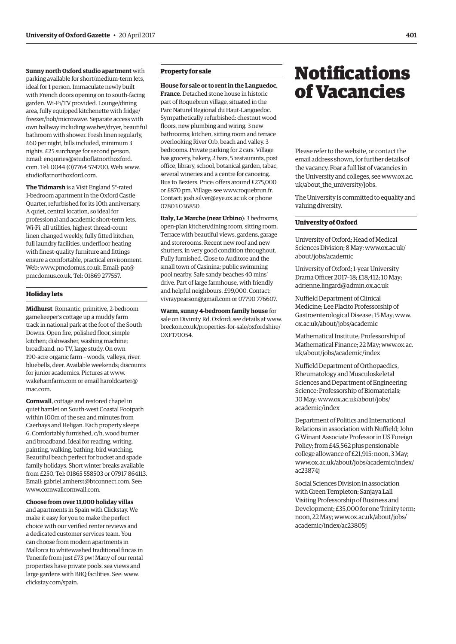#### <span id="page-18-0"></span>**Sunny north Oxford studio apartment** with

parking available for short/medium-term lets, ideal for 1 person. Immaculate newly built with French doors opening on to south-facing garden. Wi-Fi/TV provided. Lounge/dining area, fully equipped kitchenette with fridge/ freezer/hob/microwave. Separate access with own hallway including washer/dryer, beautiful bathroom with shower. Fresh linen regularly, £60 per night, bills included, minimum 3 nights. £25 surcharge for second person. Email: [enquiries@studioflatnorthoxford.](mailto:enquiries@studioflatnorthoxford.com) [com](mailto:enquiries@studioflatnorthoxford.com). Tel: 0044 (0)7764 574700. Web: www. studioflatnorthoxford.com.

**The Tidmarsh** is a Visit England 5\*-rated 1-bedroom apartment in the Oxford Castle Quarter, refurbished for its 10th anniversary. A quiet, central location, so ideal for professional and academic short-term lets. Wi-Fi, all utilities, highest thread-count linen changed weekly, fully fitted kitchen, full laundry facilities, underfloor heating with finest-quality furniture and fittings ensure a comfortable, practical environment. Web: www.pmcdomus.co.uk. Email: [pat@](mailto:pat@pmcdomus.co.uk) [pmcdomus.co.uk. T](mailto:pat@pmcdomus.co.uk)el: 01869 277557.

#### **Holiday lets**

**Midhurst**. Romantic, primitive, 2-bedroom gamekeeper's cottage up a muddy farm track in national park at the foot of the South Downs. Open fire, polished floor, simple kitchen; dishwasher, washing machine; broadband, no TV, large study. On own 190-acre organic farm – woods, valleys, river, bluebells, deer. Available weekends; discounts for junior academics. Pictures at www. wakehamfarm.com or email [haroldcarter@](mailto:haroldcarter@mac.com) [mac.com.](mailto:haroldcarter@mac.com) 

**Cornwall**, cottage and restored chapel in quiet hamlet on South-west Coastal Footpath within 100m of the sea and minutes from Caerhays and Heligan. Each property sleeps 6. Comfortably furnished, c/h, wood burner and broadband. Ideal for reading, writing, painting, walking, bathing, bird watching. Beautiful beach perfect for bucket and spade family holidays. Short winter breaks available from £250. Tel: 01865 558503 or 07917 864113. Email: gabriel.amherst@btconnect.com. See: www.cornwallcornwall.com.

**Choose from over 11,000 holiday villas** and apartments in Spain with Clickstay. We

make it easy for you to make the perfect choice with our verified renter reviews and a dedicated customer services team. You can choose from modern apartments in Mallorca to whitewashed traditional fincas in Tenerife from just £73 pw! Many of our rental properties have private pools, sea views and large gardens with BBQ facilities. See: www. clickstay.com/spain.

#### **Property for sale**

**House for sale or to rent in the Languedoc, France**. Detached stone house in historic part of Roquebrun village, situated in the Parc Naturel Regional du Haut-Languedoc. Sympathetically refurbished: chestnut wood floors, new plumbing and wiring. 3 new bathrooms; kitchen, sitting room and terrace overlooking River Orb, beach and valley. 3 bedrooms. Private parking for 2 cars. Village has grocery, bakery, 2 bars, 5 restaurants, post office, library, school, botanical garden, tabac, several wineries and a centre for canoeing. Bus to Beziers. Price: offers around £275,000 or £870 pm. Village: see www.roquebrun.fr. Contact: josh.silver@eye.ox.ac.uk or phone 07803 036850.

**Italy, Le Marche (near Urbino**): 3 bedrooms, open-plan kitchen/dining room, sitting room. Terrace with beautiful views, gardens, garage and storerooms. Recent new roof and new shutters, in very good condition throughout. Fully furnished. Close to Auditore and the small town of Casinina; public swimming pool nearby. Safe sandy beaches 40 mins' drive. Part of large farmhouse, with friendly and helpful neighbours. £99,000. Contact: vivraypearson@gmail.com or 07790 776607.

**Warm, sunny 4-bedroom family house** for sale on Divinity Rd, Oxford: see details at www. [breckon.co.uk/properties-for-sale/oxfordshire/](http://www.breckon.co.uk/properties-for-sale/oxfordshire/OXF170054) OXF170054.

## **Notifications** of Vacancies

Please refer to the website, or contact the email address shown, for further details of the vacancy. Foar a full list of vacancies in the University and colleges, see [www.ox.ac.](http://www.ox.ac.uk/about_the_university/jobs) uk/about the university/jobs.

The University is committed to equality and valuing diversity.

#### **University of Oxford**

University of Oxford; Head of Medical Sciences Division; 8 May; [www.ox.ac.uk/](http://www.ox.ac.uk/about/jobs/academic) [about/jobs/academic](http://www.ox.ac.uk/about/jobs/academic)

University of Oxford; 1-year University Drama Officer 2017–18; £18,412; 10 May; adrienne.lingard@admin.ox.ac.uk

Nuffield Department of Clinical Medicine; Lee Placito Professorship of Gastroenterological Disease; 15 May; [www.](http://www.ox.ac.uk/about/jobs/academic) [ox.ac.uk/about/jobs/academic](http://www.ox.ac.uk/about/jobs/academic)

Mathematical Institute; Professorship of Mathematical Finance; 22 May; [www.ox.ac.](http://www.ox.ac.uk/about/jobs/academic/index) [uk/about/jobs/academic/index](http://www.ox.ac.uk/about/jobs/academic/index)

Nuffield Department of Orthopaedics, Rheumatology and Musculoskeletal Sciences and Department of Engineering Science; Professorship of Biomaterials; 30 May; [www.ox.ac.uk/about/jobs/](http://www.ox.ac.uk/about/jobs/academic/index) [academic/index](http://www.ox.ac.uk/about/jobs/academic/index)

Department of Politics and International Relations in association with Nuffield; John G Winant Associate Professor in US Foreign Policy; from £45,562 plus pensionable college allowance of £21,915; noon, 3 May; [www.ox.ac.uk/about/jobs/academic/index/](http://www.ox.ac.uk/about/jobs/academic/index/ac23874j) ac23874j

Social Sciences Division in association with Green Templeton; Sanjaya Lall Visiting Professorship of Business and Development; £35,000 for one Trinity term; noon, 22 May; [www.ox.ac.uk/about/jobs/](http://www.ox.ac.uk/about/jobs/academic/index/ac23805j) [academic/index/ac23805j](http://www.ox.ac.uk/about/jobs/academic/index/ac23805j)